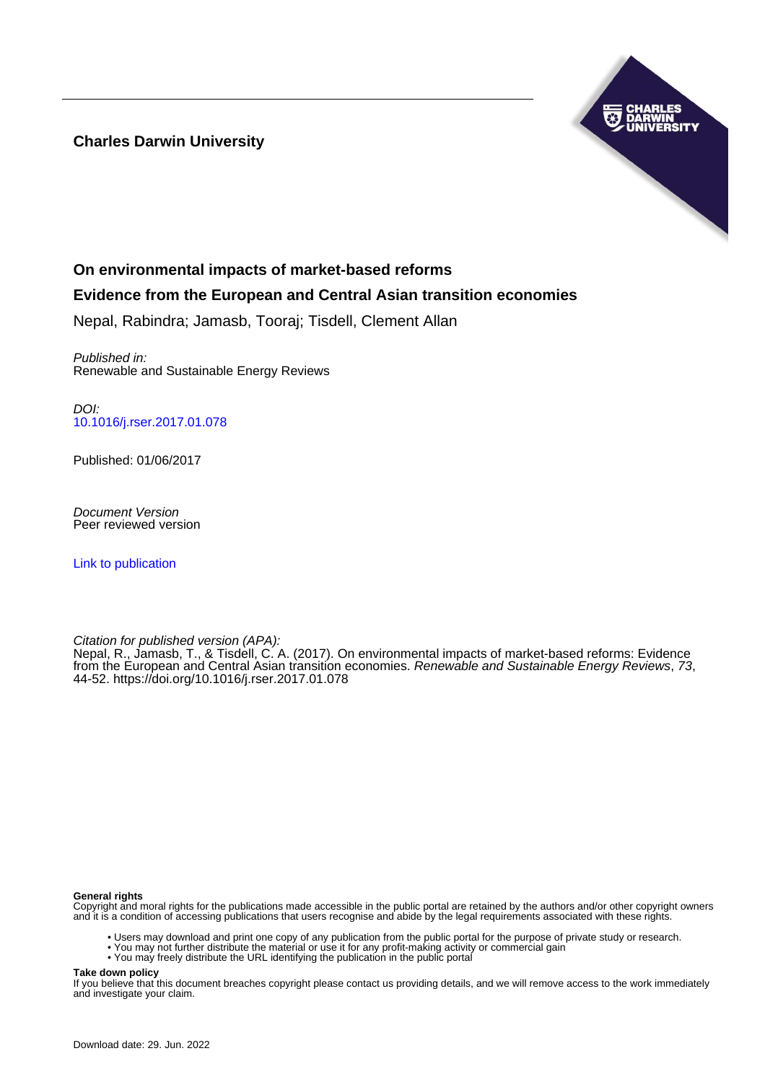**Charles Darwin University**



# **On environmental impacts of market-based reforms**

## **Evidence from the European and Central Asian transition economies**

Nepal, Rabindra; Jamasb, Tooraj; Tisdell, Clement Allan

Published in: Renewable and Sustainable Energy Reviews

DOI: [10.1016/j.rser.2017.01.078](https://doi.org/10.1016/j.rser.2017.01.078)

Published: 01/06/2017

Document Version Peer reviewed version

[Link to publication](https://researchers.cdu.edu.au/en/publications/b43b6fae-d09c-4788-946b-e16a7ccac49c)

Citation for published version (APA):

Nepal, R., Jamasb, T., & Tisdell, C. A. (2017). On environmental impacts of market-based reforms: Evidence from the European and Central Asian transition economies. Renewable and Sustainable Energy Reviews, 73, 44-52.<https://doi.org/10.1016/j.rser.2017.01.078>

#### **General rights**

Copyright and moral rights for the publications made accessible in the public portal are retained by the authors and/or other copyright owners and it is a condition of accessing publications that users recognise and abide by the legal requirements associated with these rights.

- Users may download and print one copy of any publication from the public portal for the purpose of private study or research.
- You may not further distribute the material or use it for any profit-making activity or commercial gain
- You may freely distribute the URL identifying the publication in the public portal

**Take down policy**

If you believe that this document breaches copyright please contact us providing details, and we will remove access to the work immediately and investigate your claim.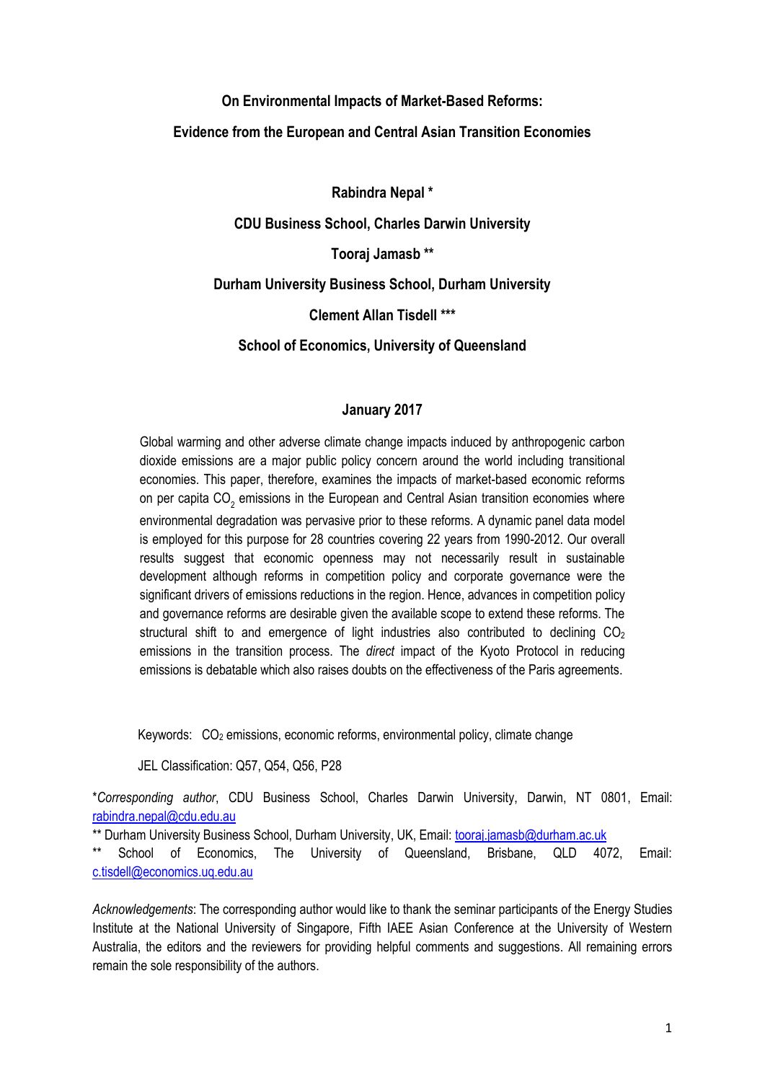## **On Environmental Impacts of Market-Based Reforms:**

## **Evidence from the European and Central Asian Transition Economies**

**Rabindra Nepal \* CDU Business School, Charles Darwin University Tooraj Jamasb \*\* Durham University Business School, Durham University Clement Allan Tisdell \*\*\* School of Economics, University of Queensland**

#### **January 2017**

Global warming and other adverse climate change impacts induced by anthropogenic carbon dioxide emissions are a major public policy concern around the world including transitional economies. This paper, therefore, examines the impacts of market-based economic reforms on per capita CO $_2^{}$  emissions in the European and Central Asian transition economies where environmental degradation was pervasive prior to these reforms. A dynamic panel data model is employed for this purpose for 28 countries covering 22 years from 1990-2012. Our overall results suggest that economic openness may not necessarily result in sustainable development although reforms in competition policy and corporate governance were the significant drivers of emissions reductions in the region. Hence, advances in competition policy and governance reforms are desirable given the available scope to extend these reforms. The structural shift to and emergence of light industries also contributed to declining  $CO<sub>2</sub>$ emissions in the transition process. The *direct* impact of the Kyoto Protocol in reducing emissions is debatable which also raises doubts on the effectiveness of the Paris agreements.

Keywords: CO<sub>2</sub> emissions, economic reforms, environmental policy, climate change

JEL Classification: Q57, Q54, Q56, P28

\**Corresponding author*, CDU Business School, Charles Darwin University, Darwin, NT 0801, Email: [rabindra.nepal@cdu.edu.au](mailto:rabindra.nepal@cdu.edu.au)

\*\* Durham University Business School, Durham University, UK, Email: [tooraj.jamasb@durham.ac.uk](mailto:tooraj.jamasb@durham.ac.uk)

\*\* School of Economics, The University of Queensland, Brisbane, QLD 4072, Email: [c.tisdell@economics.uq.edu.au](mailto:c.tisdell@economics.uq.edu.au)

*Acknowledgements*: The corresponding author would like to thank the seminar participants of the Energy Studies Institute at the National University of Singapore, Fifth IAEE Asian Conference at the University of Western Australia, the editors and the reviewers for providing helpful comments and suggestions. All remaining errors remain the sole responsibility of the authors.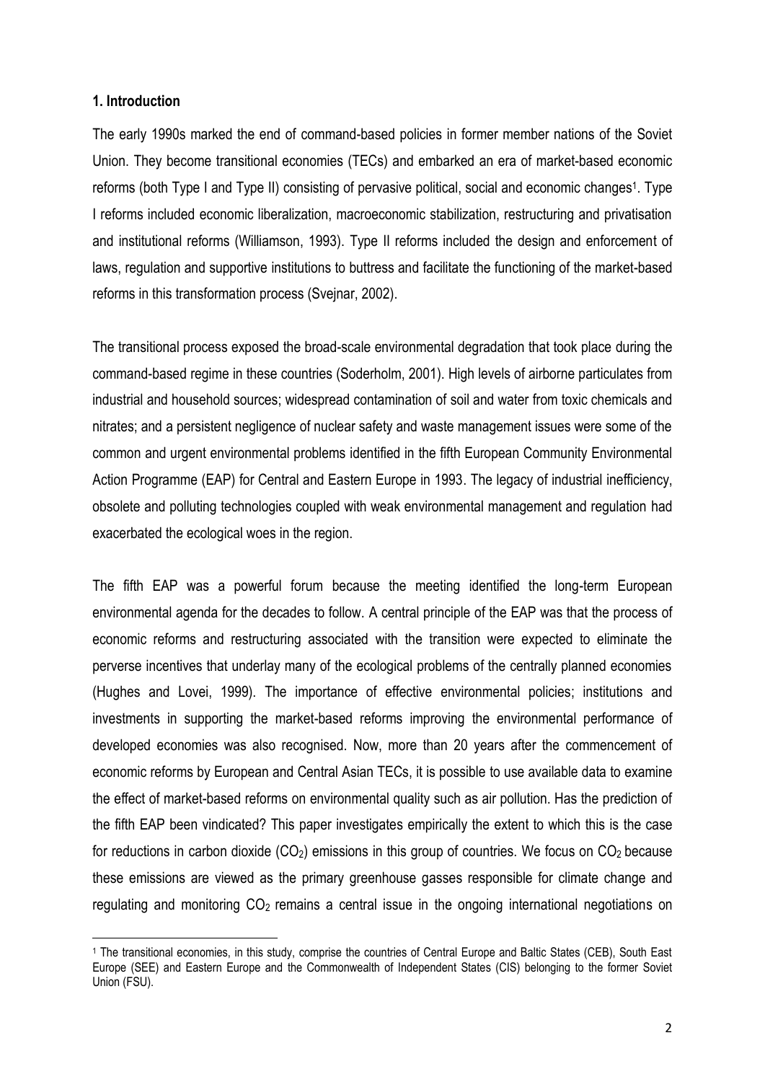## **1. Introduction**

 $\overline{\phantom{a}}$ 

The early 1990s marked the end of command-based policies in former member nations of the Soviet Union. They become transitional economies (TECs) and embarked an era of market-based economic reforms (both Type I and Type II) consisting of pervasive political, social and economic changes<sup>1</sup>. Type I reforms included economic liberalization, macroeconomic stabilization, restructuring and privatisation and institutional reforms (Williamson, 1993). Type II reforms included the design and enforcement of laws, regulation and supportive institutions to buttress and facilitate the functioning of the market-based reforms in this transformation process (Svejnar, 2002).

The transitional process exposed the broad-scale environmental degradation that took place during the command-based regime in these countries (Soderholm, 2001). High levels of airborne particulates from industrial and household sources; widespread contamination of soil and water from toxic chemicals and nitrates; and a persistent negligence of nuclear safety and waste management issues were some of the common and urgent environmental problems identified in the fifth European Community Environmental Action Programme (EAP) for Central and Eastern Europe in 1993. The legacy of industrial inefficiency, obsolete and polluting technologies coupled with weak environmental management and regulation had exacerbated the ecological woes in the region.

The fifth EAP was a powerful forum because the meeting identified the long-term European environmental agenda for the decades to follow. A central principle of the EAP was that the process of economic reforms and restructuring associated with the transition were expected to eliminate the perverse incentives that underlay many of the ecological problems of the centrally planned economies (Hughes and Lovei, 1999). The importance of effective environmental policies; institutions and investments in supporting the market-based reforms improving the environmental performance of developed economies was also recognised. Now, more than 20 years after the commencement of economic reforms by European and Central Asian TECs, it is possible to use available data to examine the effect of market-based reforms on environmental quality such as air pollution. Has the prediction of the fifth EAP been vindicated? This paper investigates empirically the extent to which this is the case for reductions in carbon dioxide  $(CO<sub>2</sub>)$  emissions in this group of countries. We focus on  $CO<sub>2</sub>$  because these emissions are viewed as the primary greenhouse gasses responsible for climate change and regulating and monitoring CO<sub>2</sub> remains a central issue in the ongoing international negotiations on

<sup>1</sup> The transitional economies, in this study, comprise the countries of Central Europe and Baltic States (CEB), South East Europe (SEE) and Eastern Europe and the Commonwealth of Independent States (CIS) belonging to the former Soviet Union (FSU).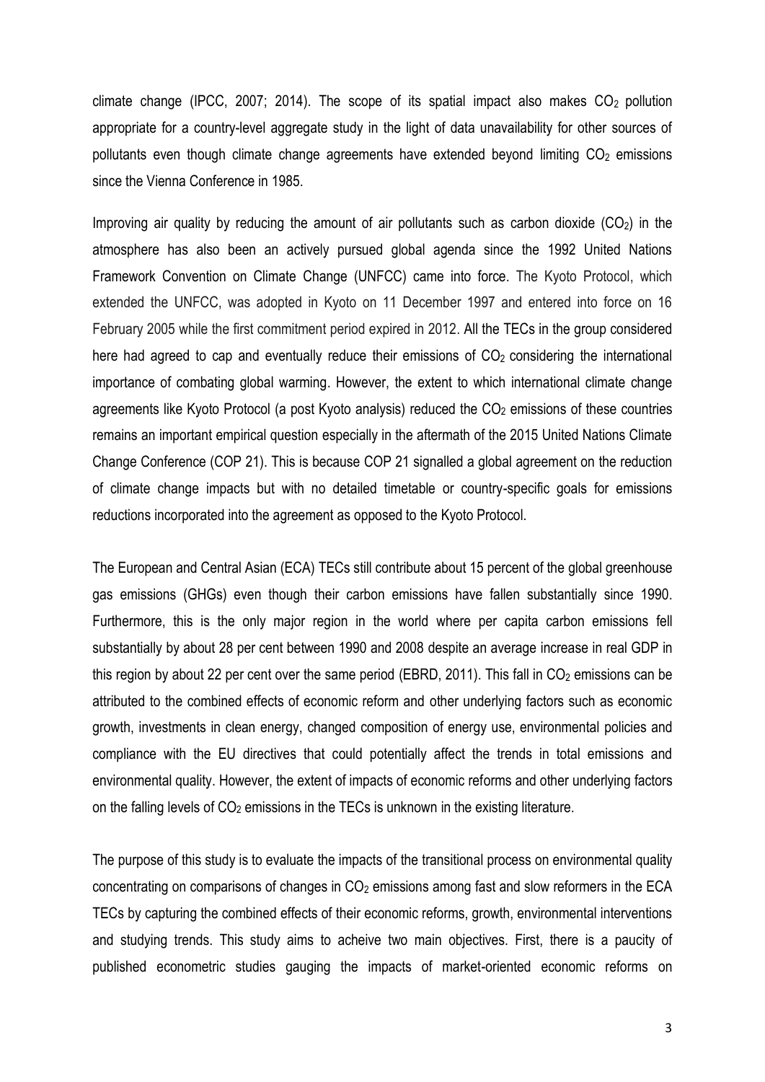climate change (IPCC, 2007; 2014). The scope of its spatial impact also makes  $CO<sub>2</sub>$  pollution appropriate for a country-level aggregate study in the light of data unavailability for other sources of pollutants even though climate change agreements have extended beyond limiting  $CO<sub>2</sub>$  emissions since the Vienna Conference in 1985.

Improving air quality by reducing the amount of air pollutants such as carbon dioxide  $(CO<sub>2</sub>)$  in the atmosphere has also been an actively pursued global agenda since the 1992 United Nations Framework Convention on Climate Change (UNFCC) came into force. The Kyoto Protocol, which extended the UNFCC, was adopted in Kyoto on 11 December 1997 and entered into force on 16 February 2005 while the first commitment period expired in 2012. All the TECs in the group considered here had agreed to cap and eventually reduce their emissions of  $CO<sub>2</sub>$  considering the international importance of combating global warming. However, the extent to which international climate change agreements like Kyoto Protocol (a post Kyoto analysis) reduced the CO<sub>2</sub> emissions of these countries remains an important empirical question especially in the aftermath of the 2015 United Nations Climate Change Conference (COP 21). This is because COP 21 signalled a global agreement on the reduction of climate change impacts but with no detailed timetable or country-specific goals for emissions reductions incorporated into the agreement as opposed to the Kyoto Protocol.

The European and Central Asian (ECA) TECs still contribute about 15 percent of the global greenhouse gas emissions (GHGs) even though their carbon emissions have fallen substantially since 1990. Furthermore, this is the only major region in the world where per capita carbon emissions fell substantially by about 28 per cent between 1990 and 2008 despite an average increase in real GDP in this region by about 22 per cent over the same period (EBRD, 2011). This fall in  $CO<sub>2</sub>$  emissions can be attributed to the combined effects of economic reform and other underlying factors such as economic growth, investments in clean energy, changed composition of energy use, environmental policies and compliance with the EU directives that could potentially affect the trends in total emissions and environmental quality. However, the extent of impacts of economic reforms and other underlying factors on the falling levels of  $CO<sub>2</sub>$  emissions in the TECs is unknown in the existing literature.

The purpose of this study is to evaluate the impacts of the transitional process on environmental quality concentrating on comparisons of changes in  $CO<sub>2</sub>$  emissions among fast and slow reformers in the ECA TECs by capturing the combined effects of their economic reforms, growth, environmental interventions and studying trends. This study aims to acheive two main objectives. First, there is a paucity of published econometric studies gauging the impacts of market-oriented economic reforms on

3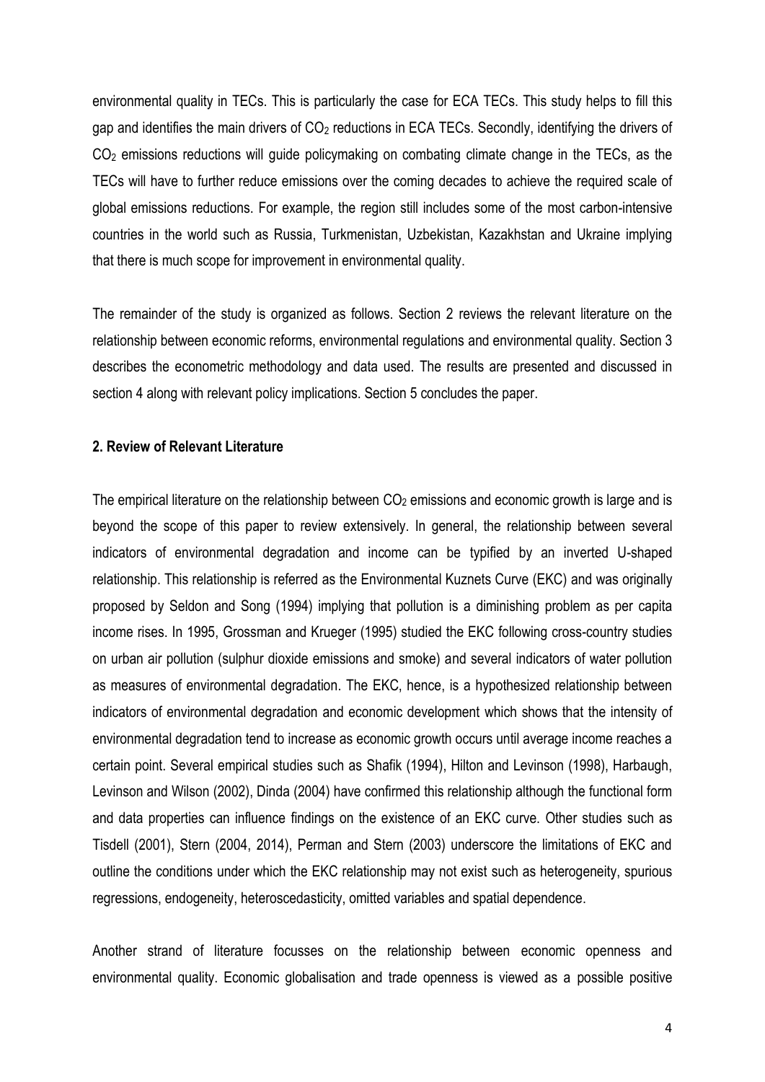environmental quality in TECs. This is particularly the case for ECA TECs. This study helps to fill this gap and identifies the main drivers of CO<sub>2</sub> reductions in ECA TECs. Secondly, identifying the drivers of CO<sup>2</sup> emissions reductions will guide policymaking on combating climate change in the TECs, as the TECs will have to further reduce emissions over the coming decades to achieve the required scale of global emissions reductions. For example, the region still includes some of the most carbon-intensive countries in the world such as Russia, Turkmenistan, Uzbekistan, Kazakhstan and Ukraine implying that there is much scope for improvement in environmental quality.

The remainder of the study is organized as follows. Section 2 reviews the relevant literature on the relationship between economic reforms, environmental regulations and environmental quality. Section 3 describes the econometric methodology and data used. The results are presented and discussed in section 4 along with relevant policy implications. Section 5 concludes the paper.

## **2. Review of Relevant Literature**

The empirical literature on the relationship between  $CO<sub>2</sub>$  emissions and economic growth is large and is beyond the scope of this paper to review extensively. In general, the relationship between several indicators of environmental degradation and income can be typified by an inverted U-shaped relationship. This relationship is referred as the Environmental Kuznets Curve (EKC) and was originally proposed by Seldon and Song (1994) implying that pollution is a diminishing problem as per capita income rises. In 1995, Grossman and Krueger (1995) studied the EKC following cross-country studies on urban air pollution (sulphur dioxide emissions and smoke) and several indicators of water pollution as measures of environmental degradation. The EKC, hence, is a hypothesized relationship between indicators of environmental degradation and economic development which shows that the intensity of environmental degradation tend to increase as economic growth occurs until average income reaches a certain point. Several empirical studies such as Shafik (1994), Hilton and Levinson (1998), Harbaugh, Levinson and Wilson (2002), Dinda (2004) have confirmed this relationship although the functional form and data properties can influence findings on the existence of an EKC curve. Other studies such as Tisdell (2001), Stern (2004, 2014), Perman and Stern (2003) underscore the limitations of EKC and outline the conditions under which the EKC relationship may not exist such as heterogeneity, spurious regressions, endogeneity, heteroscedasticity, omitted variables and spatial dependence.

Another strand of literature focusses on the relationship between economic openness and environmental quality. Economic globalisation and trade openness is viewed as a possible positive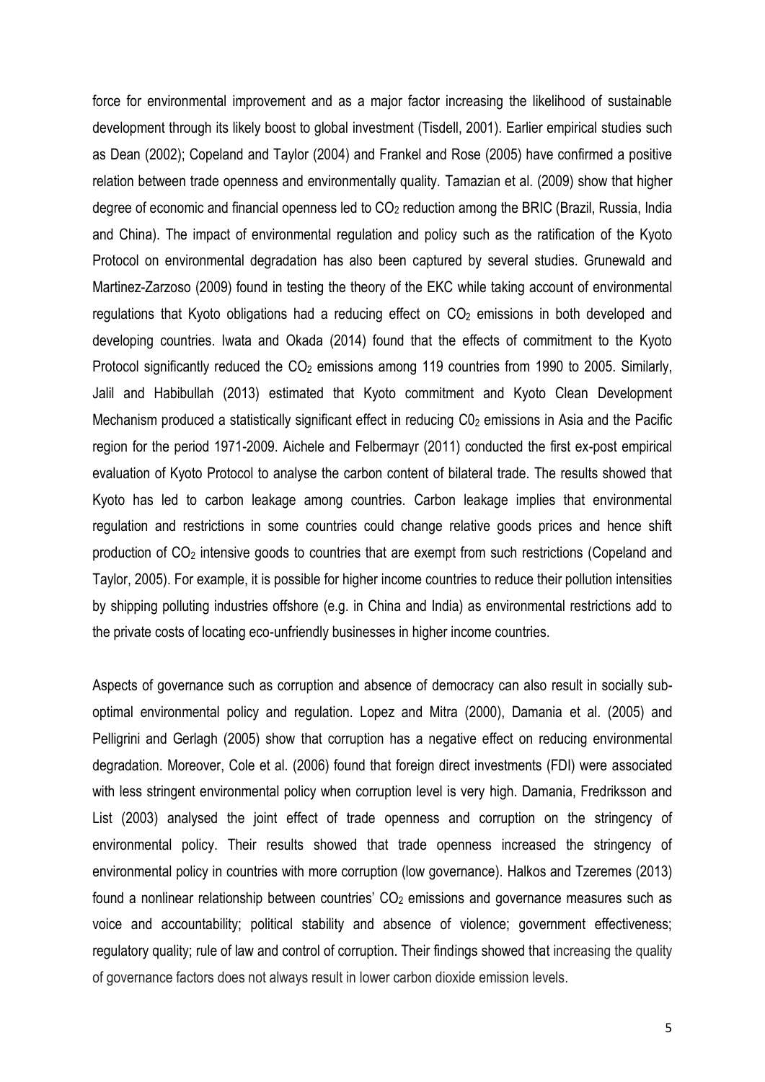force for environmental improvement and as a major factor increasing the likelihood of sustainable development through its likely boost to global investment (Tisdell, 2001). Earlier empirical studies such as Dean (2002); Copeland and Taylor (2004) and Frankel and Rose (2005) have confirmed a positive relation between trade openness and environmentally quality. Tamazian et al. (2009) show that higher degree of economic and financial openness led to CO<sub>2</sub> reduction among the BRIC (Brazil, Russia, India and China). The impact of environmental regulation and policy such as the ratification of the Kyoto Protocol on environmental degradation has also been captured by several studies. Grunewald and Martinez-Zarzoso (2009) found in testing the theory of the EKC while taking account of environmental regulations that Kyoto obligations had a reducing effect on  $CO<sub>2</sub>$  emissions in both developed and developing countries. Iwata and Okada (2014) found that the effects of commitment to the Kyoto Protocol significantly reduced the CO<sub>2</sub> emissions among 119 countries from 1990 to 2005. Similarly, Jalil and Habibullah (2013) estimated that Kyoto commitment and Kyoto Clean Development Mechanism produced a statistically significant effect in reducing C0<sub>2</sub> emissions in Asia and the Pacific region for the period 1971-2009. Aichele and Felbermayr (2011) conducted the first ex-post empirical evaluation of Kyoto Protocol to analyse the carbon content of bilateral trade. The results showed that Kyoto has led to carbon leakage among countries. Carbon leakage implies that environmental regulation and restrictions in some countries could change relative goods prices and hence shift production of CO<sub>2</sub> intensive goods to countries that are exempt from such restrictions (Copeland and Taylor, 2005). For example, it is possible for higher income countries to reduce their pollution intensities by shipping polluting industries offshore (e.g. in China and India) as environmental restrictions add to the private costs of locating eco-unfriendly businesses in higher income countries.

Aspects of governance such as corruption and absence of democracy can also result in socially suboptimal environmental policy and regulation. Lopez and Mitra (2000), Damania et al. (2005) and Pelligrini and Gerlagh (2005) show that corruption has a negative effect on reducing environmental degradation. Moreover, Cole et al. (2006) found that foreign direct investments (FDI) were associated with less stringent environmental policy when corruption level is very high. Damania, Fredriksson and List (2003) analysed the joint effect of trade openness and corruption on the stringency of environmental policy. Their results showed that trade openness increased the stringency of environmental policy in countries with more corruption (low governance). Halkos and Tzeremes (2013) found a nonlinear relationship between countries'  $CO<sub>2</sub>$  emissions and governance measures such as voice and accountability; political stability and absence of violence; government effectiveness; regulatory quality; rule of law and control of corruption. Their findings showed that increasing the quality of governance factors does not always result in lower carbon dioxide emission levels.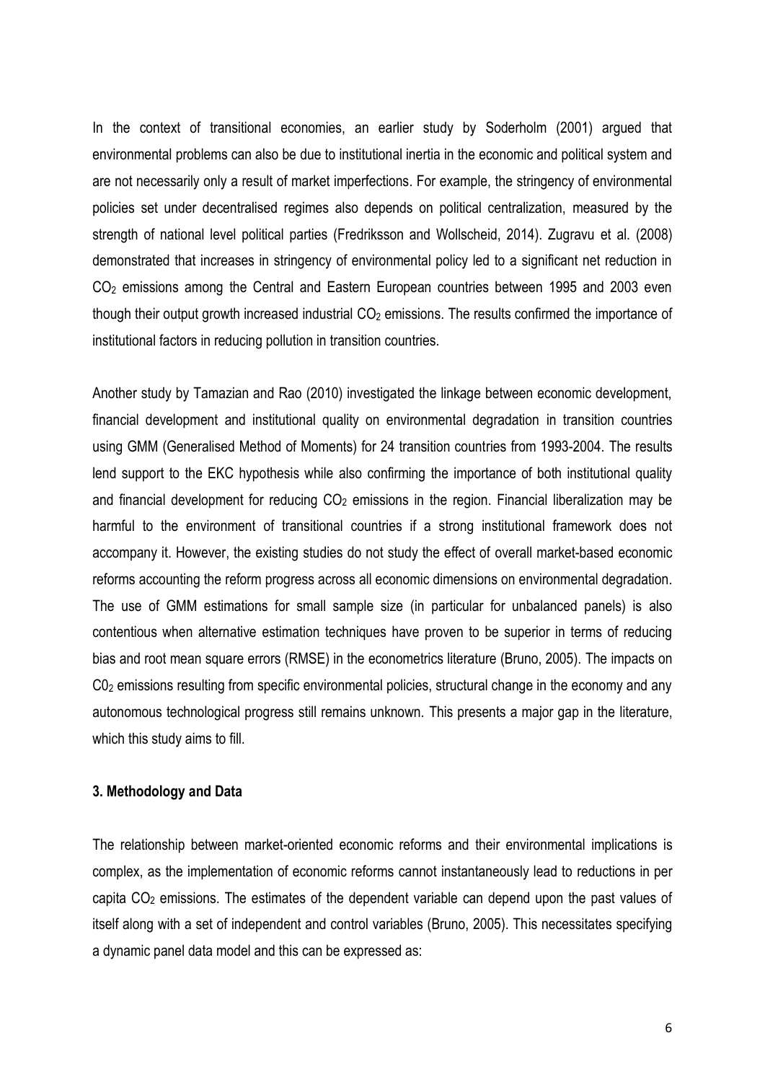In the context of transitional economies, an earlier study by Soderholm (2001) argued that environmental problems can also be due to institutional inertia in the economic and political system and are not necessarily only a result of market imperfections. For example, the stringency of environmental policies set under decentralised regimes also depends on political centralization, measured by the strength of national level political parties (Fredriksson and Wollscheid, 2014). Zugravu et al. (2008) demonstrated that increases in stringency of environmental policy led to a significant net reduction in CO<sup>2</sup> emissions among the Central and Eastern European countries between 1995 and 2003 even though their output growth increased industrial  $CO<sub>2</sub>$  emissions. The results confirmed the importance of institutional factors in reducing pollution in transition countries.

Another study by Tamazian and Rao (2010) investigated the linkage between economic development, financial development and institutional quality on environmental degradation in transition countries using GMM (Generalised Method of Moments) for 24 transition countries from 1993-2004. The results lend support to the EKC hypothesis while also confirming the importance of both institutional quality and financial development for reducing  $CO<sub>2</sub>$  emissions in the region. Financial liberalization may be harmful to the environment of transitional countries if a strong institutional framework does not accompany it. However, the existing studies do not study the effect of overall market-based economic reforms accounting the reform progress across all economic dimensions on environmental degradation. The use of GMM estimations for small sample size (in particular for unbalanced panels) is also contentious when alternative estimation techniques have proven to be superior in terms of reducing bias and root mean square errors (RMSE) in the econometrics literature (Bruno, 2005). The impacts on C0<sub>2</sub> emissions resulting from specific environmental policies, structural change in the economy and any autonomous technological progress still remains unknown. This presents a major gap in the literature, which this study aims to fill.

## **3. Methodology and Data**

The relationship between market-oriented economic reforms and their environmental implications is complex, as the implementation of economic reforms cannot instantaneously lead to reductions in per capita CO<sup>2</sup> emissions. The estimates of the dependent variable can depend upon the past values of itself along with a set of independent and control variables (Bruno, 2005). This necessitates specifying a dynamic panel data model and this can be expressed as: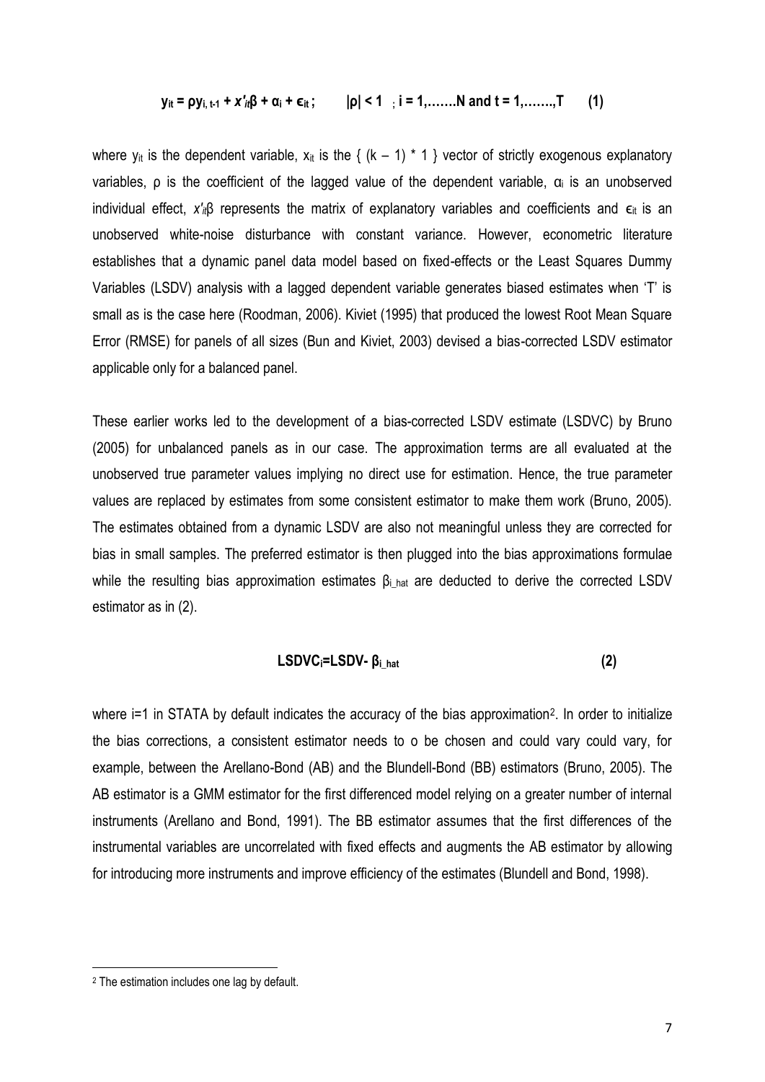# *y*<sub>it</sub> **=**  $\alpha$ *y*<sub>i, t-1</sub> **+**  $x'_{it}$  $\beta$  **+**  $\alpha$ <sub>i</sub> **+**  $\epsilon$ <sub>it</sub>; **d**  $|\rho|$  < 1 ; **i** = 1,………N and t = 1,………T (1)

where  $y_{it}$  is the dependent variable,  $x_{it}$  is the { (k – 1) \* 1 } vector of strictly exogenous explanatory variables,  $\rho$  is the coefficient of the lagged value of the dependent variable,  $\alpha_i$  is an unobserved individual effect, *x'<sub>it</sub>*β represents the matrix of explanatory variables and coefficients and ε<sub>it</sub> is an unobserved white-noise disturbance with constant variance. However, econometric literature establishes that a dynamic panel data model based on fixed-effects or the Least Squares Dummy Variables (LSDV) analysis with a lagged dependent variable generates biased estimates when 'T' is small as is the case here (Roodman, 2006). Kiviet (1995) that produced the lowest Root Mean Square Error (RMSE) for panels of all sizes (Bun and Kiviet, 2003) devised a bias-corrected LSDV estimator applicable only for a balanced panel.

These earlier works led to the development of a bias-corrected LSDV estimate (LSDVC) by Bruno (2005) for unbalanced panels as in our case. The approximation terms are all evaluated at the unobserved true parameter values implying no direct use for estimation. Hence, the true parameter values are replaced by estimates from some consistent estimator to make them work (Bruno, 2005). The estimates obtained from a dynamic LSDV are also not meaningful unless they are corrected for bias in small samples. The preferred estimator is then plugged into the bias approximations formulae while the resulting bias approximation estimates  $\beta_i$  hat are deducted to derive the corrected LSDV estimator as in (2).

# $\text{LSDVC}_i = \text{LSDV} \cdot \beta_i$  hat (2)

where i=1 in STATA by default indicates the accuracy of the bias approximation<sup>2</sup>. In order to initialize the bias corrections, a consistent estimator needs to o be chosen and could vary could vary, for example, between the Arellano-Bond (AB) and the Blundell-Bond (BB) estimators (Bruno, 2005). The AB estimator is a GMM estimator for the first differenced model relying on a greater number of internal instruments (Arellano and Bond, 1991). The BB estimator assumes that the first differences of the instrumental variables are uncorrelated with fixed effects and augments the AB estimator by allowing for introducing more instruments and improve efficiency of the estimates (Blundell and Bond, 1998).

**.** 

<sup>2</sup> The estimation includes one lag by default.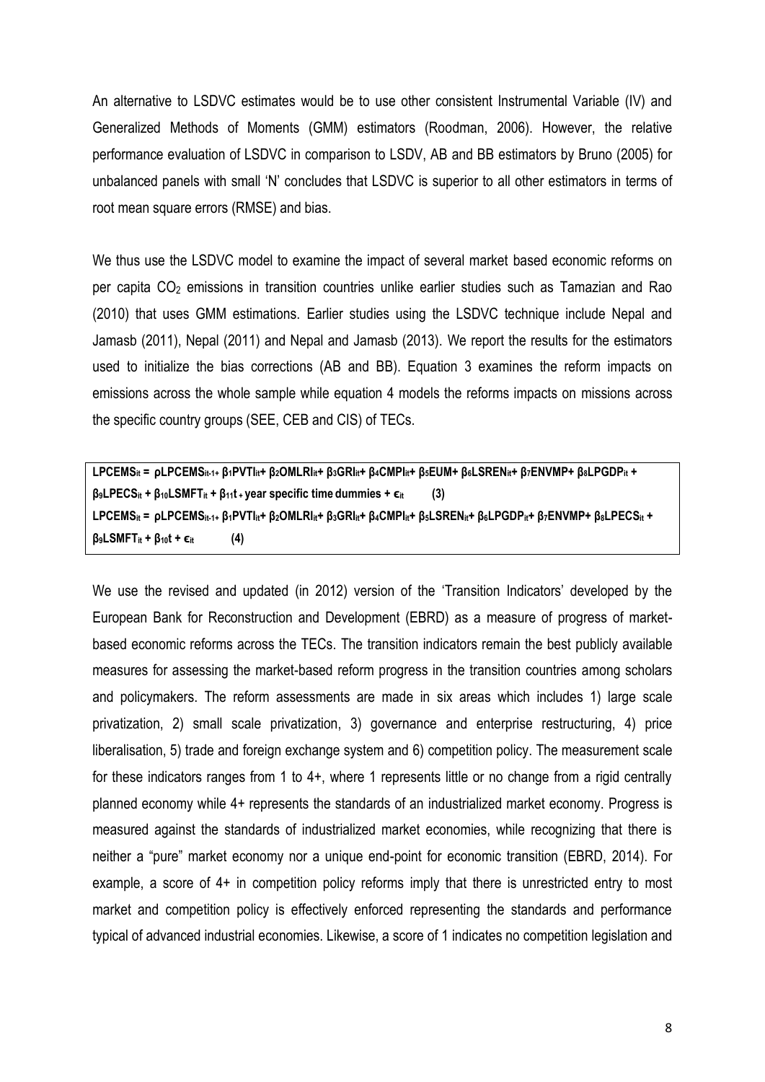An alternative to LSDVC estimates would be to use other consistent Instrumental Variable (IV) and Generalized Methods of Moments (GMM) estimators (Roodman, 2006). However, the relative performance evaluation of LSDVC in comparison to LSDV, AB and BB estimators by Bruno (2005) for unbalanced panels with small 'N' concludes that LSDVC is superior to all other estimators in terms of root mean square errors (RMSE) and bias.

We thus use the LSDVC model to examine the impact of several market based economic reforms on per capita  $CO<sub>2</sub>$  emissions in transition countries unlike earlier studies such as Tamazian and Rao (2010) that uses GMM estimations. Earlier studies using the LSDVC technique include Nepal and Jamasb (2011), Nepal (2011) and Nepal and Jamasb (2013). We report the results for the estimators used to initialize the bias corrections (AB and BB). Equation 3 examines the reform impacts on emissions across the whole sample while equation 4 models the reforms impacts on missions across the specific country groups (SEE, CEB and CIS) of TECs.

LPCEMS<sub>it</sub> = pLPCEMS<sub>it-1+</sub>  $\beta_1$ PVTI<sub>it</sub>+  $\beta_2$ OMLRI<sub>it</sub>+  $\beta_3$ GRI<sub>it</sub>+  $\beta_4$ CMPI<sub>it</sub>+  $\beta_5$ EUM+  $\beta_6$ LSREN<sub>it</sub>+  $\beta_7$ ENVMP+  $\beta_8$ LPGDP<sub>it</sub> +  $\beta$ **<sup>9</sup><b>LPECS**<sub>it</sub></sub> **+**  $\beta$ <sub>10</sub>**LSMFT**<sub>it</sub> **+**  $\beta$ <sub>11</sub>**t**<sub>+</sub> year specific time dummies +  $\epsilon$ <sub>it</sub> (3) LPCEMS<sub>it</sub> = pLPCEMS<sub>it-1+</sub>  $\beta_1$ PVTI<sub>it</sub>+  $\beta_2$ OMLRI<sub>it</sub>+  $\beta_3$ GRI<sub>it</sub>+  $\beta_4$ CMPI<sub>it</sub>+  $\beta_5$ LSREN<sub>it</sub>+  $\beta_6$ LPGDP<sub>it</sub>+  $\beta_7$ ENVMP+  $\beta_8$ LPECS<sub>it</sub> +  $β$ **9LSMFT**<sub>it</sub> **+**  $β$ <sub>10</sub>**t +**  $ε$ <sub>it</sub> (4)

We use the revised and updated (in 2012) version of the 'Transition Indicators' developed by the European Bank for Reconstruction and Development (EBRD) as a measure of progress of marketbased economic reforms across the TECs. The transition indicators remain the best publicly available measures for assessing the market-based reform progress in the transition countries among scholars and policymakers. The reform assessments are made in six areas which includes 1) large scale privatization, 2) small scale privatization, 3) governance and enterprise restructuring, 4) price liberalisation, 5) trade and foreign exchange system and 6) competition policy. The measurement scale for these indicators ranges from 1 to 4+, where 1 represents little or no change from a rigid centrally planned economy while 4+ represents the standards of an industrialized market economy. Progress is measured against the standards of industrialized market economies, while recognizing that there is neither a "pure" market economy nor a unique end-point for economic transition (EBRD, 2014). For example, a score of 4+ in competition policy reforms imply that there is unrestricted entry to most market and competition policy is effectively enforced representing the standards and performance typical of advanced industrial economies. Likewise, a score of 1 indicates no competition legislation and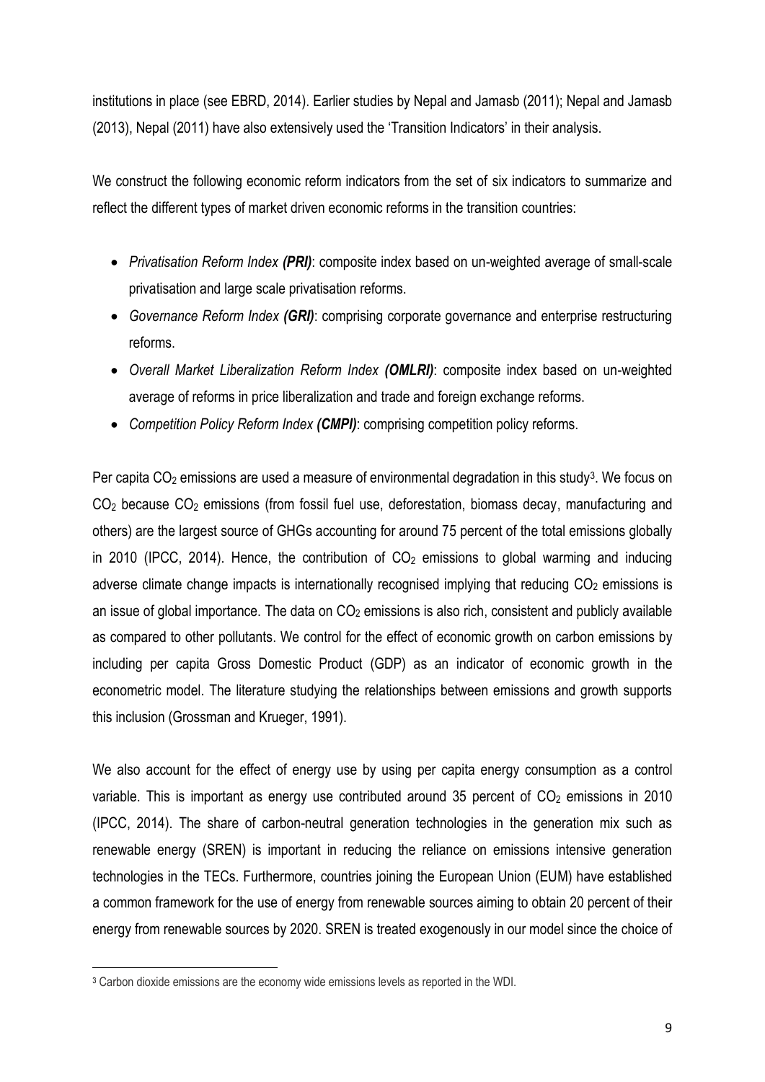institutions in place (see EBRD, 2014). Earlier studies by Nepal and Jamasb (2011); Nepal and Jamasb (2013), Nepal (2011) have also extensively used the 'Transition Indicators' in their analysis.

We construct the following economic reform indicators from the set of six indicators to summarize and reflect the different types of market driven economic reforms in the transition countries:

- *Privatisation Reform Index (PRI)*: composite index based on un-weighted average of small-scale privatisation and large scale privatisation reforms.
- *Governance Reform Index (GRI)*: comprising corporate governance and enterprise restructuring reforms.
- *Overall Market Liberalization Reform Index (OMLRI)*: composite index based on un-weighted average of reforms in price liberalization and trade and foreign exchange reforms.
- *Competition Policy Reform Index (CMPI)*: comprising competition policy reforms.

Per capita  $CO<sub>2</sub>$  emissions are used a measure of environmental degradation in this study<sup>3</sup>. We focus on CO<sup>2</sup> because CO<sup>2</sup> emissions (from fossil fuel use, deforestation, biomass decay, manufacturing and others) are the largest source of GHGs accounting for around 75 percent of the total emissions globally in 2010 (IPCC, 2014). Hence, the contribution of  $CO<sub>2</sub>$  emissions to global warming and inducing adverse climate change impacts is internationally recognised implying that reducing  $CO<sub>2</sub>$  emissions is an issue of global importance. The data on  $CO<sub>2</sub>$  emissions is also rich, consistent and publicly available as compared to other pollutants. We control for the effect of economic growth on carbon emissions by including per capita Gross Domestic Product (GDP) as an indicator of economic growth in the econometric model. The literature studying the relationships between emissions and growth supports this inclusion (Grossman and Krueger, 1991).

We also account for the effect of energy use by using per capita energy consumption as a control variable. This is important as energy use contributed around 35 percent of  $CO<sub>2</sub>$  emissions in 2010 (IPCC, 2014). The share of carbon-neutral generation technologies in the generation mix such as renewable energy (SREN) is important in reducing the reliance on emissions intensive generation technologies in the TECs. Furthermore, countries joining the European Union (EUM) have established a common framework for the use of energy from renewable sources aiming to obtain 20 percent of their energy from renewable sources by 2020. SREN is treated exogenously in our model since the choice of

**.** 

<sup>3</sup> Carbon dioxide emissions are the economy wide emissions levels as reported in the WDI.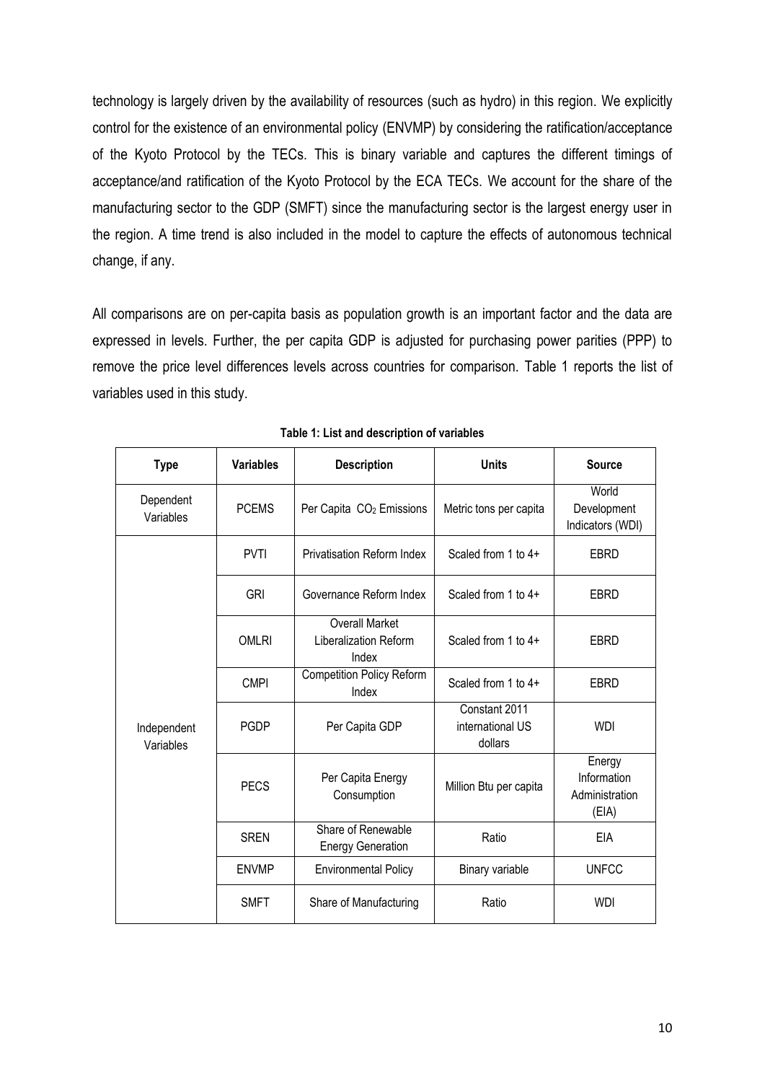technology is largely driven by the availability of resources (such as hydro) in this region. We explicitly control for the existence of an environmental policy (ENVMP) by considering the ratification/acceptance of the Kyoto Protocol by the TECs. This is binary variable and captures the different timings of acceptance/and ratification of the Kyoto Protocol by the ECA TECs. We account for the share of the manufacturing sector to the GDP (SMFT) since the manufacturing sector is the largest energy user in the region. A time trend is also included in the model to capture the effects of autonomous technical change, if any.

All comparisons are on per-capita basis as population growth is an important factor and the data are expressed in levels. Further, the per capita GDP is adjusted for purchasing power parities (PPP) to remove the price level differences levels across countries for comparison. Table 1 reports the list of variables used in this study.

| <b>Type</b>              | <b>Variables</b> | <b>Units</b><br><b>Description</b>                                      |                                              | <b>Source</b>                                    |
|--------------------------|------------------|-------------------------------------------------------------------------|----------------------------------------------|--------------------------------------------------|
| Dependent<br>Variables   | <b>PCEMS</b>     | Per Capita CO <sub>2</sub> Emissions                                    | Metric tons per capita                       | World<br>Development<br>Indicators (WDI)         |
| Independent<br>Variables | <b>PVTI</b>      | Scaled from 1 to 4+<br>Privatisation Reform Index                       |                                              | <b>EBRD</b>                                      |
|                          | <b>GRI</b>       | Governance Reform Index                                                 | Scaled from 1 to 4+                          | <b>EBRD</b>                                      |
|                          | <b>OMLRI</b>     | Overall Market<br>Scaled from 1 to 4+<br>Liberalization Reform<br>Index |                                              | <b>EBRD</b>                                      |
|                          | <b>CMPI</b>      | <b>Competition Policy Reform</b><br>Scaled from 1 to 4+<br>Index        |                                              | <b>EBRD</b>                                      |
|                          | <b>PGDP</b>      | Per Capita GDP                                                          | Constant 2011<br>international US<br>dollars | <b>WDI</b>                                       |
|                          | <b>PECS</b>      | Per Capita Energy<br>Consumption                                        | Million Btu per capita                       | Energy<br>Information<br>Administration<br>(EIA) |
|                          | <b>SREN</b>      | Share of Renewable<br><b>Energy Generation</b>                          | Ratio                                        | <b>EIA</b>                                       |
|                          | <b>ENVMP</b>     | <b>Environmental Policy</b>                                             | Binary variable                              | <b>UNFCC</b>                                     |
|                          | <b>SMFT</b>      | Share of Manufacturing                                                  | Ratio                                        | <b>WDI</b>                                       |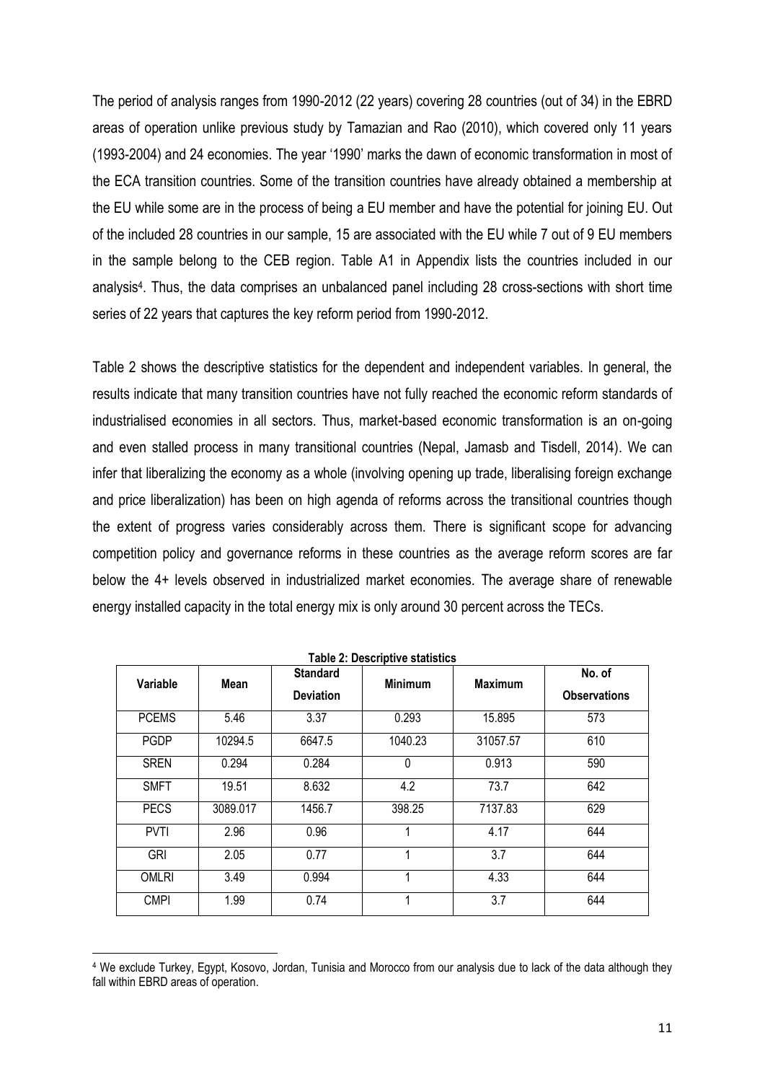The period of analysis ranges from 1990-2012 (22 years) covering 28 countries (out of 34) in the EBRD areas of operation unlike previous study by Tamazian and Rao (2010), which covered only 11 years (1993-2004) and 24 economies. The year '1990' marks the dawn of economic transformation in most of the ECA transition countries. Some of the transition countries have already obtained a membership at the EU while some are in the process of being a EU member and have the potential for joining EU. Out of the included 28 countries in our sample, 15 are associated with the EU while 7 out of 9 EU members in the sample belong to the CEB region. Table A1 in Appendix lists the countries included in our analysis<sup>4</sup> . Thus, the data comprises an unbalanced panel including 28 cross-sections with short time series of 22 years that captures the key reform period from 1990-2012.

Table 2 shows the descriptive statistics for the dependent and independent variables. In general, the results indicate that many transition countries have not fully reached the economic reform standards of industrialised economies in all sectors. Thus, market-based economic transformation is an on-going and even stalled process in many transitional countries (Nepal, Jamasb and Tisdell, 2014). We can infer that liberalizing the economy as a whole (involving opening up trade, liberalising foreign exchange and price liberalization) has been on high agenda of reforms across the transitional countries though the extent of progress varies considerably across them. There is significant scope for advancing competition policy and governance reforms in these countries as the average reform scores are far below the 4+ levels observed in industrialized market economies. The average share of renewable energy installed capacity in the total energy mix is only around 30 percent across the TECs.

| Variable     | Mean     | <b>Standard</b><br><b>Deviation</b> | <b>Minimum</b> | <b>Maximum</b> | No. of<br><b>Observations</b> |
|--------------|----------|-------------------------------------|----------------|----------------|-------------------------------|
| <b>PCEMS</b> | 5.46     | 3.37                                | 0.293          | 15.895         | 573                           |
| <b>PGDP</b>  | 10294.5  | 6647.5                              | 1040.23        | 31057.57       | 610                           |
| <b>SREN</b>  | 0.294    | 0.284                               | 0              | 0.913          | 590                           |
| <b>SMFT</b>  | 19.51    | 8.632                               | 4.2            | 73.7           | 642                           |
| <b>PECS</b>  | 3089.017 | 1456.7                              | 398.25         | 7137.83        | 629                           |
| <b>PVTI</b>  | 2.96     | 0.96                                |                | 4.17           | 644                           |
| <b>GRI</b>   | 2.05     | 0.77                                |                | 3.7            | 644                           |
| <b>OMLRI</b> | 3.49     | 0.994                               |                | 4.33           | 644                           |
| <b>CMPI</b>  | 1.99     | 0.74                                |                | 3.7            | 644                           |

**Table 2: Descriptive statistics**

1

<sup>4</sup> We exclude Turkey, Egypt, Kosovo, Jordan, Tunisia and Morocco from our analysis due to lack of the data although they fall within EBRD areas of operation.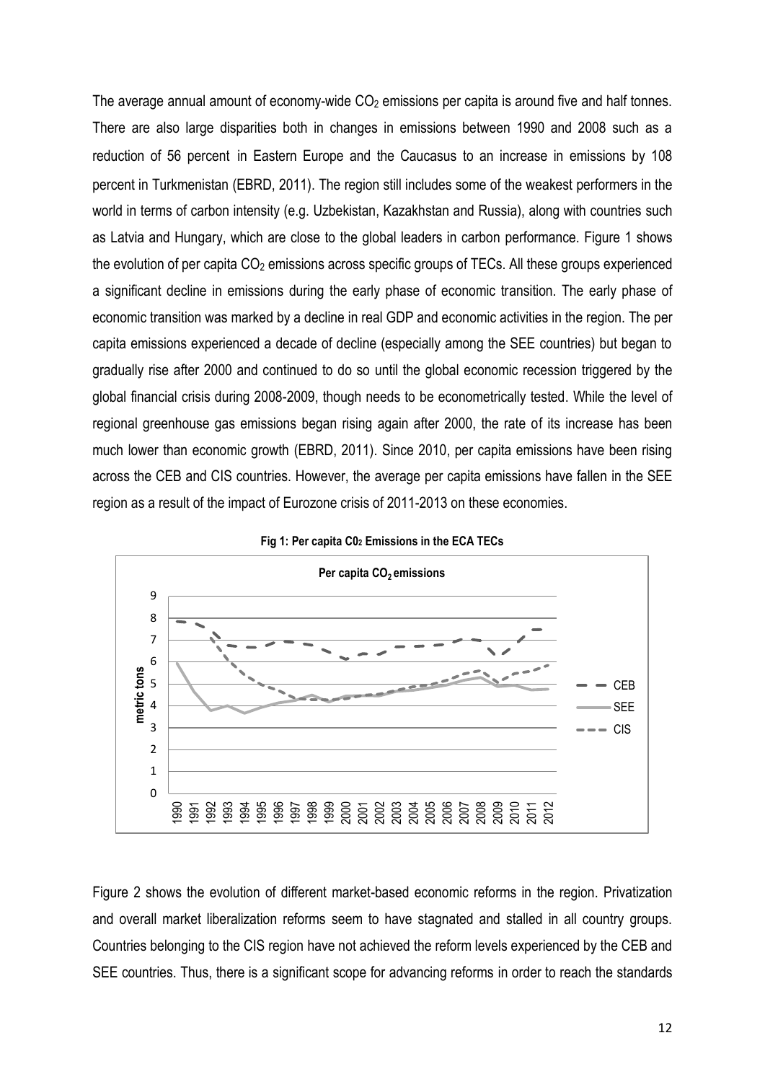The average annual amount of economy-wide  $CO<sub>2</sub>$  emissions per capita is around five and half tonnes. There are also large disparities both in changes in emissions between 1990 and 2008 such as a reduction of 56 percent in Eastern Europe and the Caucasus to an increase in emissions by 108 percent in Turkmenistan (EBRD, 2011). The region still includes some of the weakest performers in the world in terms of carbon intensity (e.g. Uzbekistan, Kazakhstan and Russia), along with countries such as Latvia and Hungary, which are close to the global leaders in carbon performance. Figure 1 shows the evolution of per capita  $CO<sub>2</sub>$  emissions across specific groups of TECs. All these groups experienced a significant decline in emissions during the early phase of economic transition. The early phase of economic transition was marked by a decline in real GDP and economic activities in the region. The per capita emissions experienced a decade of decline (especially among the SEE countries) but began to gradually rise after 2000 and continued to do so until the global economic recession triggered by the global financial crisis during 2008-2009, though needs to be econometrically tested. While the level of regional greenhouse gas emissions began rising again after 2000, the rate of its increase has been much lower than economic growth (EBRD, 2011). Since 2010, per capita emissions have been rising across the CEB and CIS countries. However, the average per capita emissions have fallen in the SEE region as a result of the impact of Eurozone crisis of 2011-2013 on these economies.





**Fig 1: Per capita C0<sup>2</sup> Emissions in the ECA TECs**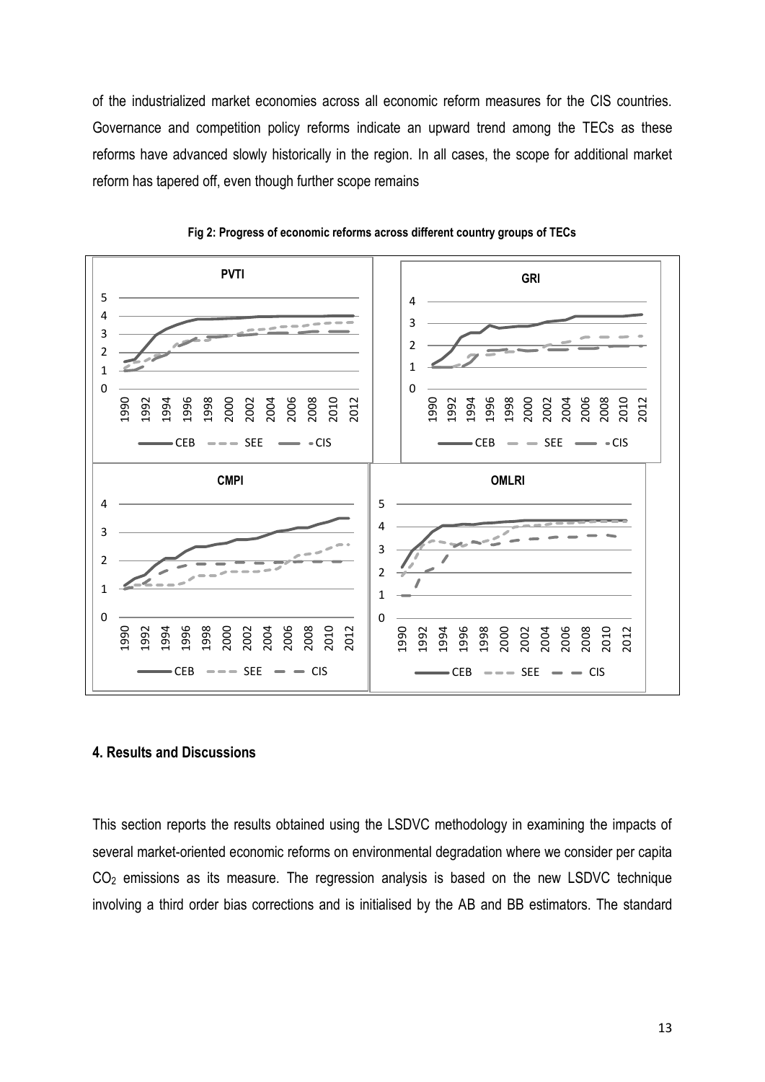of the industrialized market economies across all economic reform measures for the CIS countries. Governance and competition policy reforms indicate an upward trend among the TECs as these reforms have advanced slowly historically in the region. In all cases, the scope for additional market reform has tapered off, even though further scope remains





## **4. Results and Discussions**

This section reports the results obtained using the LSDVC methodology in examining the impacts of several market-oriented economic reforms on environmental degradation where we consider per capita CO<sup>2</sup> emissions as its measure. The regression analysis is based on the new LSDVC technique involving a third order bias corrections and is initialised by the AB and BB estimators. The standard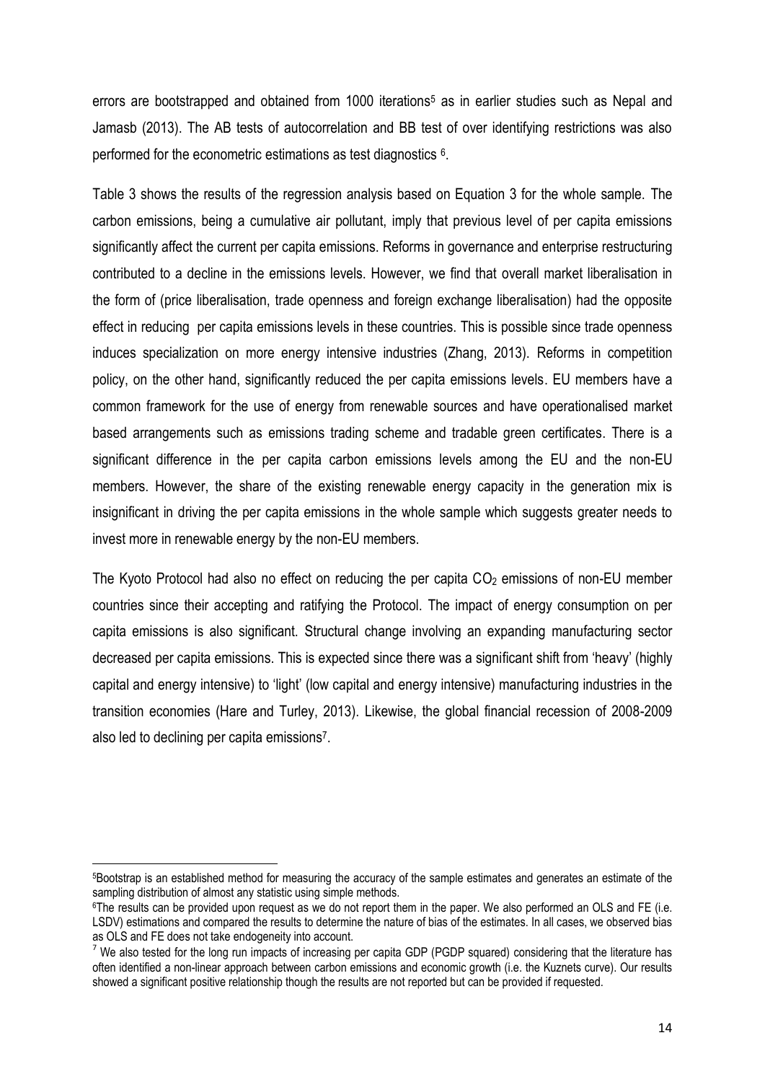errors are bootstrapped and obtained from 1000 iterations<sup>5</sup> as in earlier studies such as Nepal and Jamasb (2013). The AB tests of autocorrelation and BB test of over identifying restrictions was also performed for the econometric estimations as test diagnostics <sup>6</sup> .

Table 3 shows the results of the regression analysis based on Equation 3 for the whole sample. The carbon emissions, being a cumulative air pollutant, imply that previous level of per capita emissions significantly affect the current per capita emissions. Reforms in governance and enterprise restructuring contributed to a decline in the emissions levels. However, we find that overall market liberalisation in the form of (price liberalisation, trade openness and foreign exchange liberalisation) had the opposite effect in reducing per capita emissions levels in these countries. This is possible since trade openness induces specialization on more energy intensive industries (Zhang, 2013). Reforms in competition policy, on the other hand, significantly reduced the per capita emissions levels. EU members have a common framework for the use of energy from renewable sources and have operationalised market based arrangements such as emissions trading scheme and tradable green certificates. There is a significant difference in the per capita carbon emissions levels among the EU and the non-EU members. However, the share of the existing renewable energy capacity in the generation mix is insignificant in driving the per capita emissions in the whole sample which suggests greater needs to invest more in renewable energy by the non-EU members.

The Kyoto Protocol had also no effect on reducing the per capita  $CO<sub>2</sub>$  emissions of non-EU member countries since their accepting and ratifying the Protocol. The impact of energy consumption on per capita emissions is also significant. Structural change involving an expanding manufacturing sector decreased per capita emissions. This is expected since there was a significant shift from 'heavy' (highly capital and energy intensive) to 'light' (low capital and energy intensive) manufacturing industries in the transition economies (Hare and Turley, 2013). Likewise, the global financial recession of 2008-2009 also led to declining per capita emissions<sup>7</sup>.

**.** 

<sup>5</sup>Bootstrap is an established method for measuring the accuracy of the sample estimates and generates an estimate of the sampling distribution of almost any statistic using simple methods.

<sup>&</sup>lt;sup>6</sup>The results can be provided upon request as we do not report them in the paper. We also performed an OLS and FE (i.e. LSDV) estimations and compared the results to determine the nature of bias of the estimates. In all cases, we observed bias as OLS and FE does not take endogeneity into account.

 $<sup>7</sup>$  We also tested for the long run impacts of increasing per capita GDP (PGDP squared) considering that the literature has</sup> often identified a non-linear approach between carbon emissions and economic growth (i.e. the Kuznets curve). Our results showed a significant positive relationship though the results are not reported but can be provided if requested.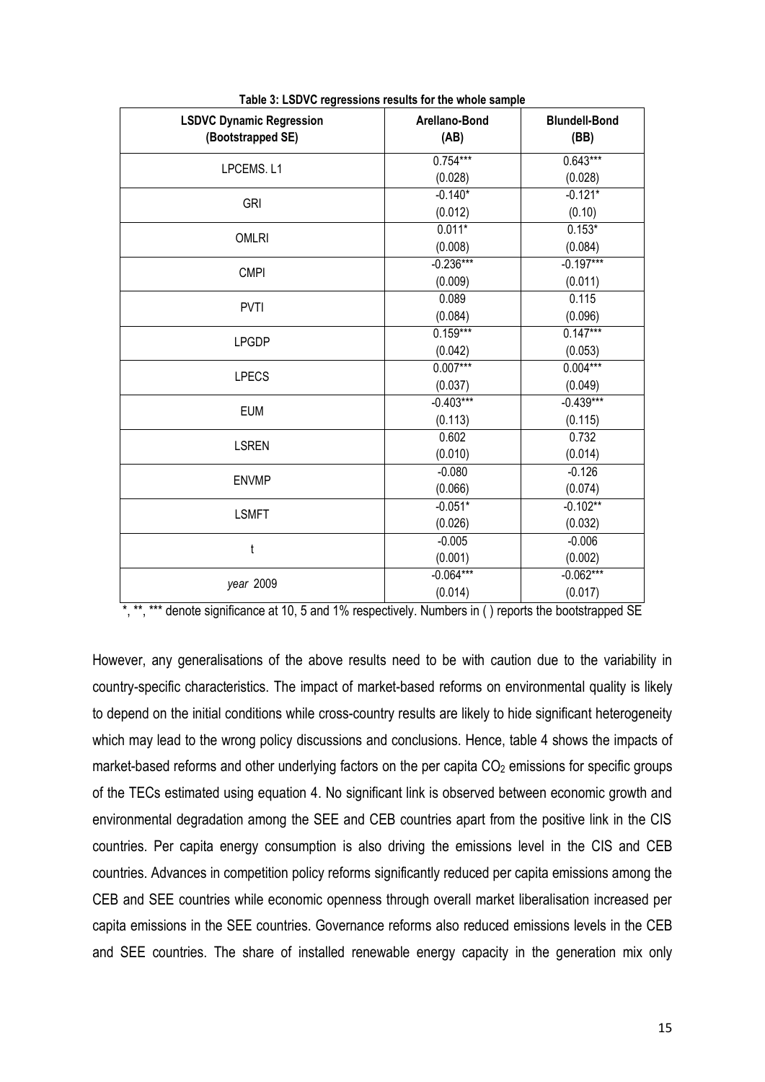| <b>LSDVC Dynamic Regression</b><br>(Bootstrapped SE) | Arellano-Bond<br>(AB) | <b>Blundell-Bond</b><br>(BB) |
|------------------------------------------------------|-----------------------|------------------------------|
| LPCEMS. L1                                           | $0.754***$            | $0.643***$                   |
|                                                      | (0.028)               | (0.028)                      |
| <b>GRI</b>                                           | $-0.140*$             | $-0.121*$                    |
|                                                      | (0.012)               | (0.10)                       |
| <b>OMLRI</b>                                         | $0.011*$              | $0.153*$                     |
|                                                      | (0.008)               | (0.084)                      |
| <b>CMPI</b>                                          | $-0.236***$           | $-0.197***$                  |
|                                                      | (0.009)               | (0.011)                      |
| <b>PVTI</b>                                          | 0.089                 | 0.115                        |
|                                                      | (0.084)               | (0.096)                      |
| <b>LPGDP</b>                                         | $0.159***$            | $0.147***$                   |
|                                                      | (0.042)               | (0.053)                      |
| <b>LPECS</b>                                         | $0.007***$            | $0.004***$                   |
|                                                      | (0.037)               | (0.049)                      |
| <b>EUM</b>                                           | $-0.403***$           | $-0.439***$                  |
|                                                      | (0.113)               | (0.115)                      |
| <b>LSREN</b>                                         | 0.602                 | 0.732                        |
|                                                      | (0.010)               | (0.014)                      |
| <b>ENVMP</b>                                         | $-0.080$              | $-0.126$                     |
|                                                      | (0.066)               | (0.074)                      |
| <b>LSMFT</b>                                         | $-0.051*$             | $-0.102**$                   |
|                                                      | (0.026)               | (0.032)                      |
| t                                                    | $-0.005$              | $-0.006$                     |
|                                                      | (0.001)               | (0.002)                      |
| year 2009                                            | $-0.064***$           | $-0.062***$                  |
|                                                      | (0.014)               | (0.017)                      |

**Table 3: LSDVC regressions results for the whole sample**

\*, \*\*, \*\*\* denote significance at 10, 5 and 1% respectively. Numbers in () reports the bootstrapped SE

However, any generalisations of the above results need to be with caution due to the variability in country-specific characteristics. The impact of market-based reforms on environmental quality is likely to depend on the initial conditions while cross-country results are likely to hide significant heterogeneity which may lead to the wrong policy discussions and conclusions. Hence, table 4 shows the impacts of market-based reforms and other underlying factors on the per capita  $CO<sub>2</sub>$  emissions for specific groups of the TECs estimated using equation 4. No significant link is observed between economic growth and environmental degradation among the SEE and CEB countries apart from the positive link in the CIS countries. Per capita energy consumption is also driving the emissions level in the CIS and CEB countries. Advances in competition policy reforms significantly reduced per capita emissions among the CEB and SEE countries while economic openness through overall market liberalisation increased per capita emissions in the SEE countries. Governance reforms also reduced emissions levels in the CEB and SEE countries. The share of installed renewable energy capacity in the generation mix only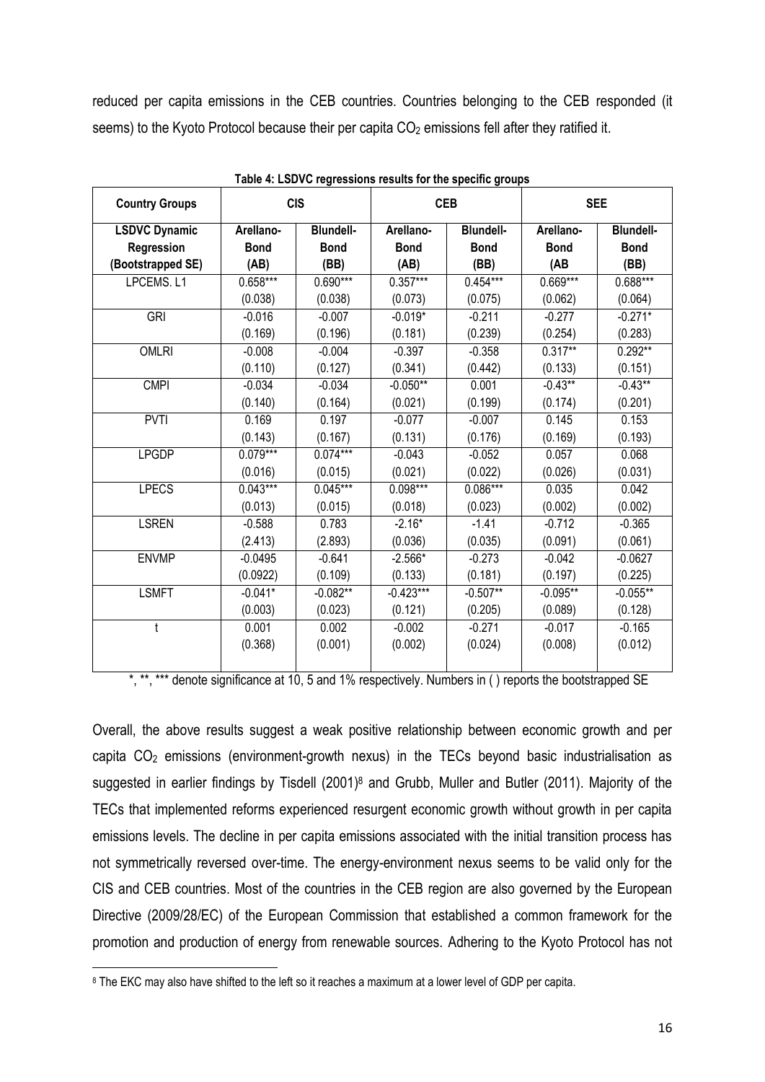reduced per capita emissions in the CEB countries. Countries belonging to the CEB responded (it seems) to the Kyoto Protocol because their per capita CO<sub>2</sub> emissions fell after they ratified it.

| <b>Country Groups</b> | <b>CIS</b><br><b>CEB</b> |                  | <b>SEE</b>  |                  |             |                  |
|-----------------------|--------------------------|------------------|-------------|------------------|-------------|------------------|
| <b>LSDVC Dynamic</b>  | Arellano-                | <b>Blundell-</b> | Arellano-   | <b>Blundell-</b> | Arellano-   | <b>Blundell-</b> |
| Regression            | <b>Bond</b>              | <b>Bond</b>      | <b>Bond</b> | <b>Bond</b>      | <b>Bond</b> | <b>Bond</b>      |
| (Bootstrapped SE)     | (AB)                     | (BB)             | (AB)        | (BB)             | (AB         | (BB)             |
| LPCEMS. L1            | $0.658***$               | $0.690***$       | $0.357***$  | $0.454***$       | 0.669***    | $0.688***$       |
|                       | (0.038)                  | (0.038)          | (0.073)     | (0.075)          | (0.062)     | (0.064)          |
| <b>GRI</b>            | $-0.016$                 | $-0.007$         | $-0.019*$   | $-0.211$         | $-0.277$    | $-0.271*$        |
|                       | (0.169)                  | (0.196)          | (0.181)     | (0.239)          | (0.254)     | (0.283)          |
| <b>OMLRI</b>          | $-0.008$                 | $-0.004$         | $-0.397$    | $-0.358$         | $0.317**$   | $0.292**$        |
|                       | (0.110)                  | (0.127)          | (0.341)     | (0.442)          | (0.133)     | (0.151)          |
| <b>CMPI</b>           | $-0.034$                 | $-0.034$         | $-0.050**$  | 0.001            | $-0.43**$   | $-0.43**$        |
|                       | (0.140)                  | (0.164)          | (0.021)     | (0.199)          | (0.174)     | (0.201)          |
| <b>PVTI</b>           | 0.169                    | 0.197            | $-0.077$    | $-0.007$         | 0.145       | 0.153            |
|                       | (0.143)                  | (0.167)          | (0.131)     | (0.176)          | (0.169)     | (0.193)          |
| <b>LPGDP</b>          | $0.079***$               | $0.074***$       | $-0.043$    | $-0.052$         | 0.057       | 0.068            |
|                       | (0.016)                  | (0.015)          | (0.021)     | (0.022)          | (0.026)     | (0.031)          |
| <b>LPECS</b>          | $0.043***$               | $0.045***$       | 0.098***    | 0.086***         | 0.035       | 0.042            |
|                       | (0.013)                  | (0.015)          | (0.018)     | (0.023)          | (0.002)     | (0.002)          |
| <b>LSREN</b>          | $-0.588$                 | 0.783            | $-2.16*$    | $-1.41$          | $-0.712$    | $-0.365$         |
|                       | (2.413)                  | (2.893)          | (0.036)     | (0.035)          | (0.091)     | (0.061)          |
| <b>ENVMP</b>          | $-0.0495$                | $-0.641$         | $-2.566*$   | $-0.273$         | $-0.042$    | $-0.0627$        |
|                       | (0.0922)                 | (0.109)          | (0.133)     | (0.181)          | (0.197)     | (0.225)          |
| <b>LSMFT</b>          | $-0.041*$                | $-0.082**$       | $-0.423***$ | $-0.507**$       | $-0.095**$  | $-0.055**$       |
|                       | (0.003)                  | (0.023)          | (0.121)     | (0.205)          | (0.089)     | (0.128)          |
| $\mathfrak t$         | 0.001                    | 0.002            | $-0.002$    | $-0.271$         | $-0.017$    | $-0.165$         |
|                       | (0.368)                  | (0.001)          | (0.002)     | (0.024)          | (0.008)     | (0.012)          |

**Table 4: LSDVC regressions results for the specific groups**

\*, \*\*, \*\*\* denote significance at 10, 5 and 1% respectively. Numbers in ( ) reports the bootstrapped SE

Overall, the above results suggest a weak positive relationship between economic growth and per capita  $CO<sub>2</sub>$  emissions (environment-growth nexus) in the TECs beyond basic industrialisation as suggested in earlier findings by Tisdell (2001)<sup>8</sup> and Grubb, Muller and Butler (2011). Majority of the TECs that implemented reforms experienced resurgent economic growth without growth in per capita emissions levels. The decline in per capita emissions associated with the initial transition process has not symmetrically reversed over-time. The energy-environment nexus seems to be valid only for the CIS and CEB countries. Most of the countries in the CEB region are also governed by the European Directive (2009/28/EC) of the European Commission that established a common framework for the promotion and production of energy from renewable sources. Adhering to the Kyoto Protocol has not

**.** 

<sup>8</sup> The EKC may also have shifted to the left so it reaches a maximum at a lower level of GDP per capita.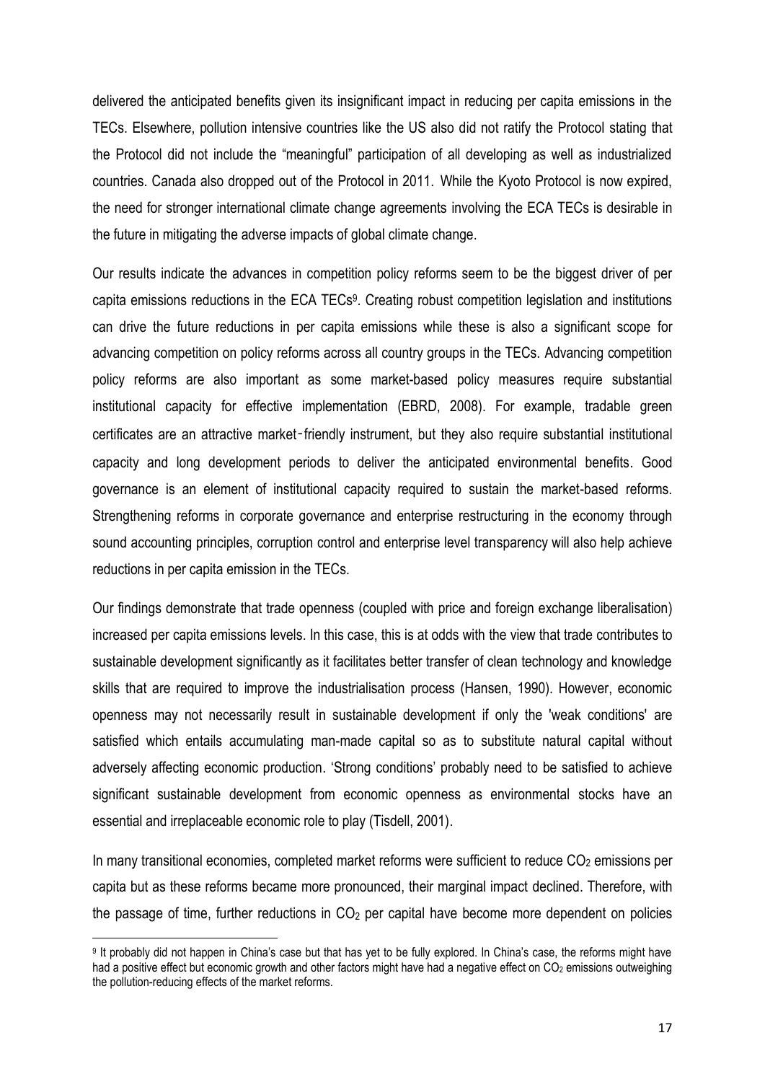delivered the anticipated benefits given its insignificant impact in reducing per capita emissions in the TECs. Elsewhere, pollution intensive countries like the US also did not ratify the Protocol stating that the Protocol did not include the "meaningful" participation of all developing as well as industrialized countries. Canada also dropped out of the Protocol in 2011. While the Kyoto Protocol is now expired, the need for stronger international climate change agreements involving the ECA TECs is desirable in the future in mitigating the adverse impacts of global climate change.

Our results indicate the advances in competition policy reforms seem to be the biggest driver of per capita emissions reductions in the ECA TECs<sup>9</sup>. Creating robust competition legislation and institutions can drive the future reductions in per capita emissions while these is also a significant scope for advancing competition on policy reforms across all country groups in the TECs. Advancing competition policy reforms are also important as some market-based policy measures require substantial institutional capacity for effective implementation (EBRD, 2008). For example, tradable green certificates are an attractive market-friendly instrument, but they also require substantial institutional capacity and long development periods to deliver the anticipated environmental benefits. Good governance is an element of institutional capacity required to sustain the market-based reforms. Strengthening reforms in corporate governance and enterprise restructuring in the economy through sound accounting principles, corruption control and enterprise level transparency will also help achieve reductions in per capita emission in the TECs.

Our findings demonstrate that trade openness (coupled with price and foreign exchange liberalisation) increased per capita emissions levels. In this case, this is at odds with the view that trade contributes to sustainable development significantly as it facilitates better transfer of clean technology and knowledge skills that are required to improve the industrialisation process (Hansen, 1990). However, economic openness may not necessarily result in sustainable development if only the 'weak conditions' are satisfied which entails accumulating man-made capital so as to substitute natural capital without adversely affecting economic production. 'Strong conditions' probably need to be satisfied to achieve significant sustainable development from economic openness as environmental stocks have an essential and irreplaceable economic role to play (Tisdell, 2001).

In many transitional economies, completed market reforms were sufficient to reduce  $CO<sub>2</sub>$  emissions per capita but as these reforms became more pronounced, their marginal impact declined. Therefore, with the passage of time, further reductions in  $CO<sub>2</sub>$  per capital have become more dependent on policies

 $\overline{\phantom{a}}$ 

<sup>9</sup> It probably did not happen in China's case but that has yet to be fully explored. In China's case, the reforms might have had a positive effect but economic growth and other factors might have had a negative effect on CO<sub>2</sub> emissions outweighing the pollution-reducing effects of the market reforms.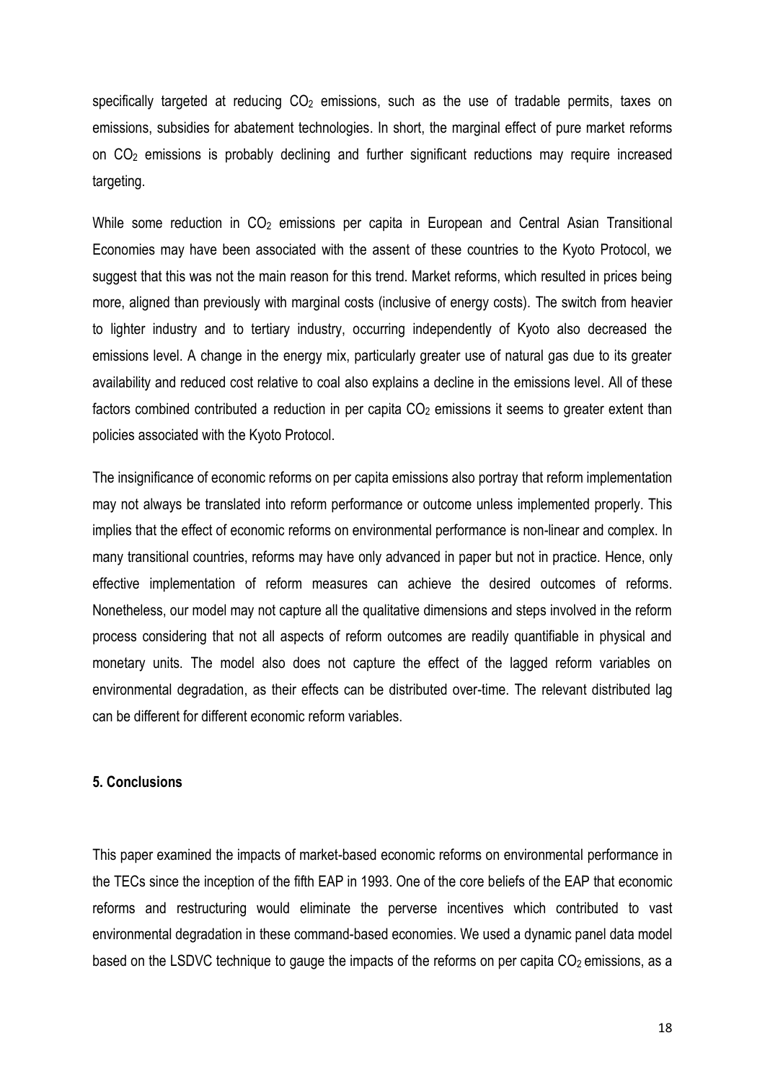specifically targeted at reducing  $CO<sub>2</sub>$  emissions, such as the use of tradable permits, taxes on emissions, subsidies for abatement technologies. In short, the marginal effect of pure market reforms on CO<sup>2</sup> emissions is probably declining and further significant reductions may require increased targeting.

While some reduction in  $CO<sub>2</sub>$  emissions per capita in European and Central Asian Transitional Economies may have been associated with the assent of these countries to the Kyoto Protocol, we suggest that this was not the main reason for this trend. Market reforms, which resulted in prices being more, aligned than previously with marginal costs (inclusive of energy costs). The switch from heavier to lighter industry and to tertiary industry, occurring independently of Kyoto also decreased the emissions level. A change in the energy mix, particularly greater use of natural gas due to its greater availability and reduced cost relative to coal also explains a decline in the emissions level. All of these factors combined contributed a reduction in per capita  $CO<sub>2</sub>$  emissions it seems to greater extent than policies associated with the Kyoto Protocol.

The insignificance of economic reforms on per capita emissions also portray that reform implementation may not always be translated into reform performance or outcome unless implemented properly. This implies that the effect of economic reforms on environmental performance is non-linear and complex. In many transitional countries, reforms may have only advanced in paper but not in practice. Hence, only effective implementation of reform measures can achieve the desired outcomes of reforms. Nonetheless, our model may not capture all the qualitative dimensions and steps involved in the reform process considering that not all aspects of reform outcomes are readily quantifiable in physical and monetary units. The model also does not capture the effect of the lagged reform variables on environmental degradation, as their effects can be distributed over-time. The relevant distributed lag can be different for different economic reform variables.

#### **5. Conclusions**

This paper examined the impacts of market-based economic reforms on environmental performance in the TECs since the inception of the fifth EAP in 1993. One of the core beliefs of the EAP that economic reforms and restructuring would eliminate the perverse incentives which contributed to vast environmental degradation in these command-based economies. We used a dynamic panel data model based on the LSDVC technique to gauge the impacts of the reforms on per capita  $CO<sub>2</sub>$  emissions, as a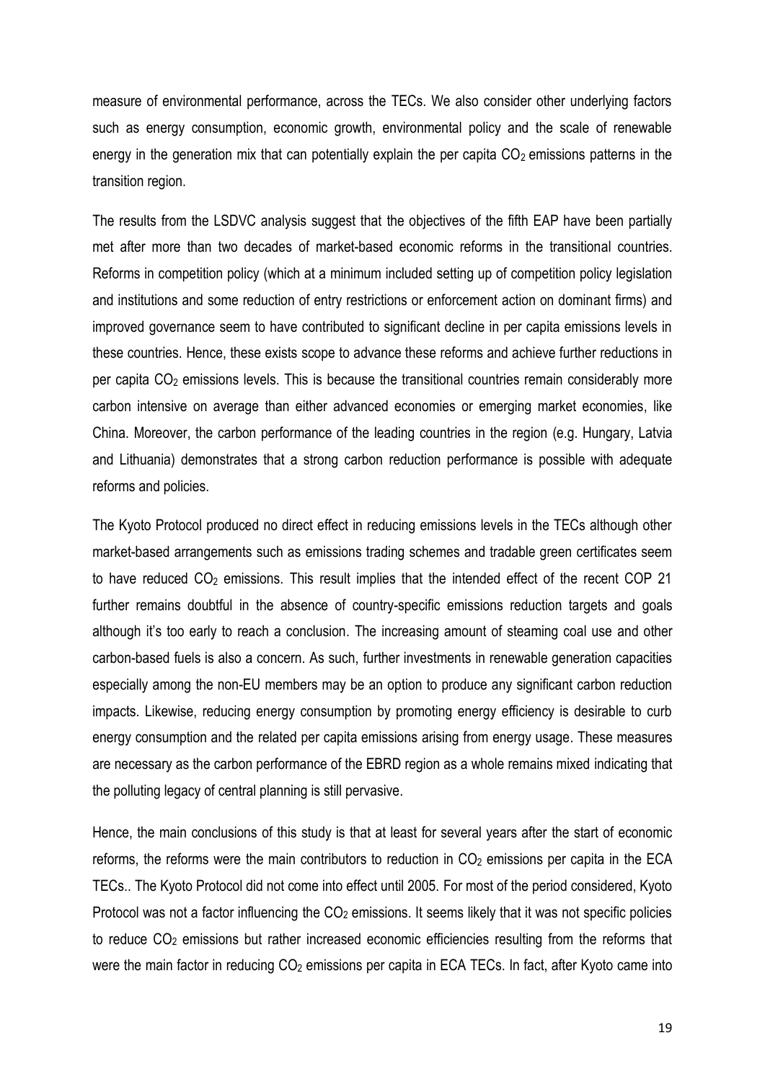measure of environmental performance, across the TECs. We also consider other underlying factors such as energy consumption, economic growth, environmental policy and the scale of renewable energy in the generation mix that can potentially explain the per capita  $CO<sub>2</sub>$  emissions patterns in the transition region.

The results from the LSDVC analysis suggest that the objectives of the fifth EAP have been partially met after more than two decades of market-based economic reforms in the transitional countries. Reforms in competition policy (which at a minimum included setting up of competition policy legislation and institutions and some reduction of entry restrictions or enforcement action on dominant firms) and improved governance seem to have contributed to significant decline in per capita emissions levels in these countries. Hence, these exists scope to advance these reforms and achieve further reductions in per capita CO<sup>2</sup> emissions levels. This is because the transitional countries remain considerably more carbon intensive on average than either advanced economies or emerging market economies, like China. Moreover, the carbon performance of the leading countries in the region (e.g. Hungary, Latvia and Lithuania) demonstrates that a strong carbon reduction performance is possible with adequate reforms and policies.

The Kyoto Protocol produced no direct effect in reducing emissions levels in the TECs although other market-based arrangements such as emissions trading schemes and tradable green certificates seem to have reduced CO<sup>2</sup> emissions. This result implies that the intended effect of the recent COP 21 further remains doubtful in the absence of country-specific emissions reduction targets and goals although it's too early to reach a conclusion. The increasing amount of steaming coal use and other carbon-based fuels is also a concern. As such, further investments in renewable generation capacities especially among the non-EU members may be an option to produce any significant carbon reduction impacts. Likewise, reducing energy consumption by promoting energy efficiency is desirable to curb energy consumption and the related per capita emissions arising from energy usage. These measures are necessary as the carbon performance of the EBRD region as a whole remains mixed indicating that the polluting legacy of central planning is still pervasive.

Hence, the main conclusions of this study is that at least for several years after the start of economic reforms, the reforms were the main contributors to reduction in  $CO<sub>2</sub>$  emissions per capita in the ECA TECs.. The Kyoto Protocol did not come into effect until 2005. For most of the period considered, Kyoto Protocol was not a factor influencing the  $CO<sub>2</sub>$  emissions. It seems likely that it was not specific policies to reduce  $CO<sub>2</sub>$  emissions but rather increased economic efficiencies resulting from the reforms that were the main factor in reducing  $CO<sub>2</sub>$  emissions per capita in ECA TECs. In fact, after Kyoto came into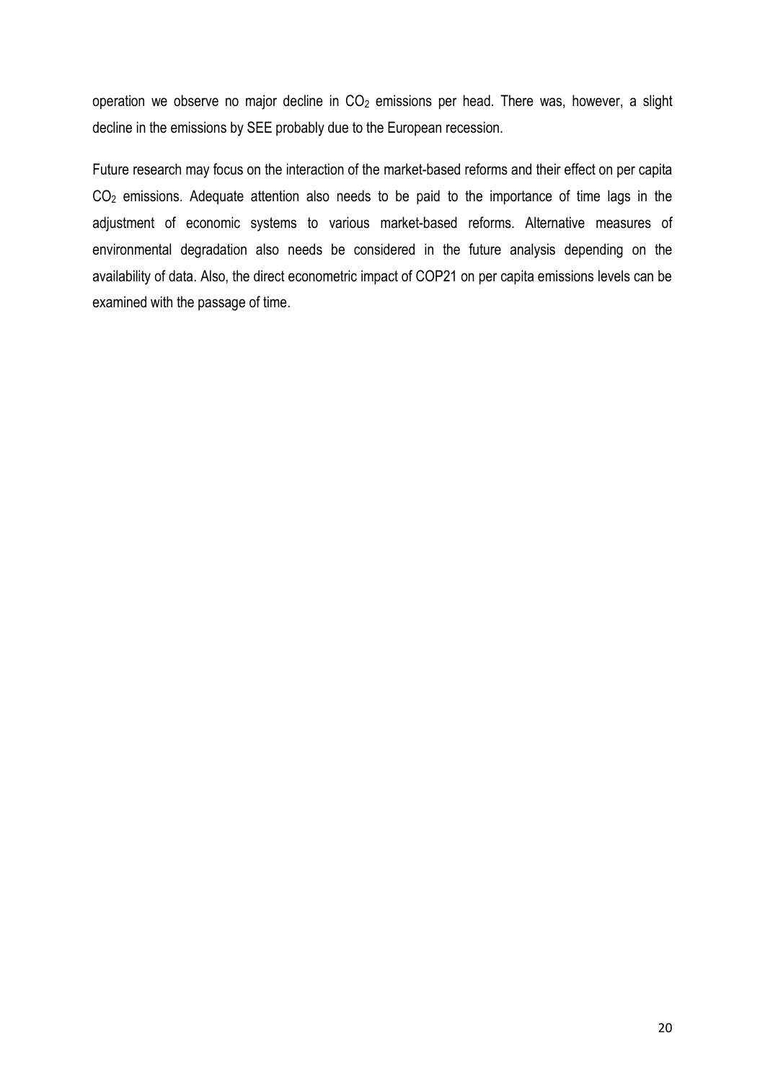operation we observe no major decline in  $CO<sub>2</sub>$  emissions per head. There was, however, a slight decline in the emissions by SEE probably due to the European recession.

Future research may focus on the interaction of the market-based reforms and their effect on per capita CO<sup>2</sup> emissions. Adequate attention also needs to be paid to the importance of time lags in the adjustment of economic systems to various market-based reforms. Alternative measures of environmental degradation also needs be considered in the future analysis depending on the availability of data. Also, the direct econometric impact of COP21 on per capita emissions levels can be examined with the passage of time.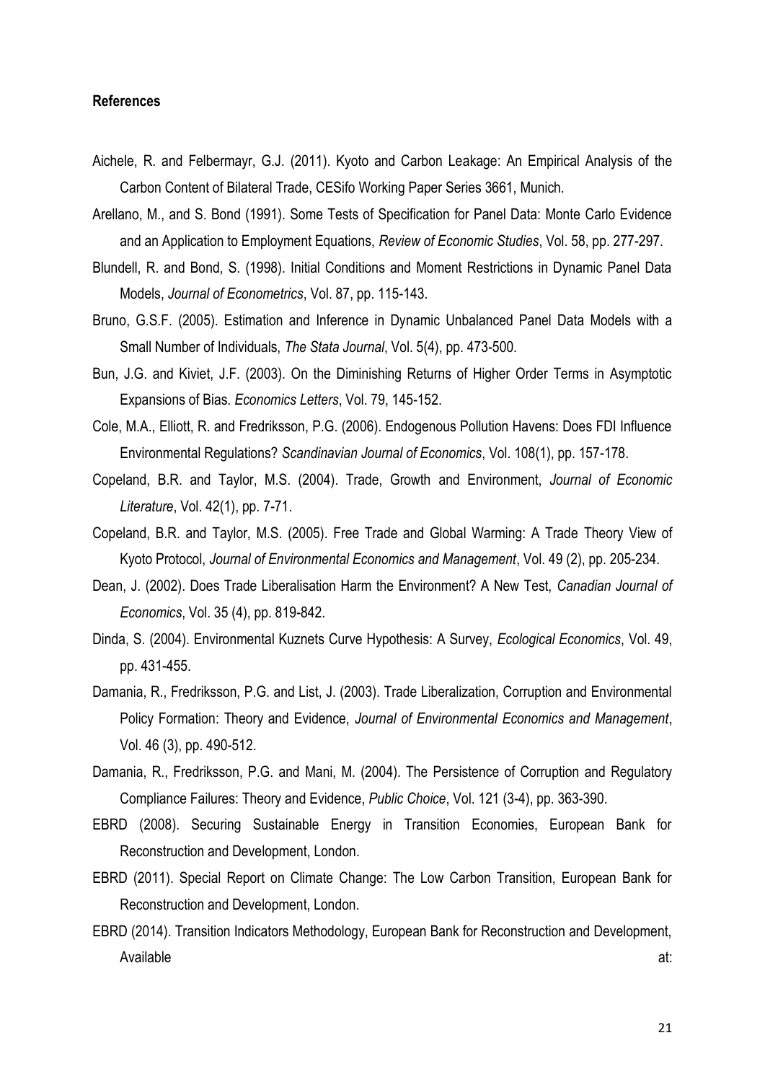#### **References**

- Aichele, R. and Felbermayr, G.J. (2011). Kyoto and Carbon Leakage: An Empirical Analysis of the Carbon Content of Bilateral Trade, CESifo Working Paper Series 3661, Munich.
- Arellano, M., and S. Bond (1991). Some Tests of Specification for Panel Data: Monte Carlo Evidence and an Application to Employment Equations, *Review of Economic Studies*, Vol. 58, pp. 277-297.
- Blundell, R. and Bond, S. (1998). Initial Conditions and Moment Restrictions in Dynamic Panel Data Models, *Journal of Econometrics*, Vol. 87, pp. 115-143.
- Bruno, G.S.F. (2005). Estimation and Inference in Dynamic Unbalanced Panel Data Models with a Small Number of Individuals, *The Stata Journal*, Vol. 5(4), pp. 473-500.
- Bun, J.G. and Kiviet, J.F. (2003). On the Diminishing Returns of Higher Order Terms in Asymptotic Expansions of Bias. *Economics Letters*, Vol. 79, 145-152.
- Cole, M.A., Elliott, R. and Fredriksson, P.G. (2006). Endogenous Pollution Havens: Does FDI Influence Environmental Regulations? *Scandinavian Journal of Economics*, Vol. 108(1), pp. 157-178.
- Copeland, B.R. and Taylor, M.S. (2004). Trade, Growth and Environment, *Journal of Economic Literature*, Vol. 42(1), pp. 7-71.
- Copeland, B.R. and Taylor, M.S. (2005). Free Trade and Global Warming: A Trade Theory View of Kyoto Protocol, *Journal of Environmental Economics and Management*, Vol. 49 (2), pp. 205-234.
- Dean, J. (2002). Does Trade Liberalisation Harm the Environment? A New Test, *Canadian Journal of Economics*, Vol. 35 (4), pp. 819-842.
- Dinda, S. (2004). Environmental Kuznets Curve Hypothesis: A Survey, *Ecological Economics*, Vol. 49, pp. 431-455.
- Damania, R., Fredriksson, P.G. and List, J. (2003). Trade Liberalization, Corruption and Environmental Policy Formation: Theory and Evidence, *Journal of Environmental Economics and Management*, Vol. 46 (3), pp. 490-512.
- Damania, R., Fredriksson, P.G. and Mani, M. (2004). The Persistence of Corruption and Regulatory Compliance Failures: Theory and Evidence, *Public Choice*, Vol. 121 (3-4), pp. 363-390.
- EBRD (2008). Securing Sustainable Energy in Transition Economies, European Bank for Reconstruction and Development, London.
- EBRD (2011). Special Report on Climate Change: The Low Carbon Transition, European Bank for Reconstruction and Development, London.
- EBRD (2014). Transition Indicators Methodology, European Bank for Reconstruction and Development, Available at: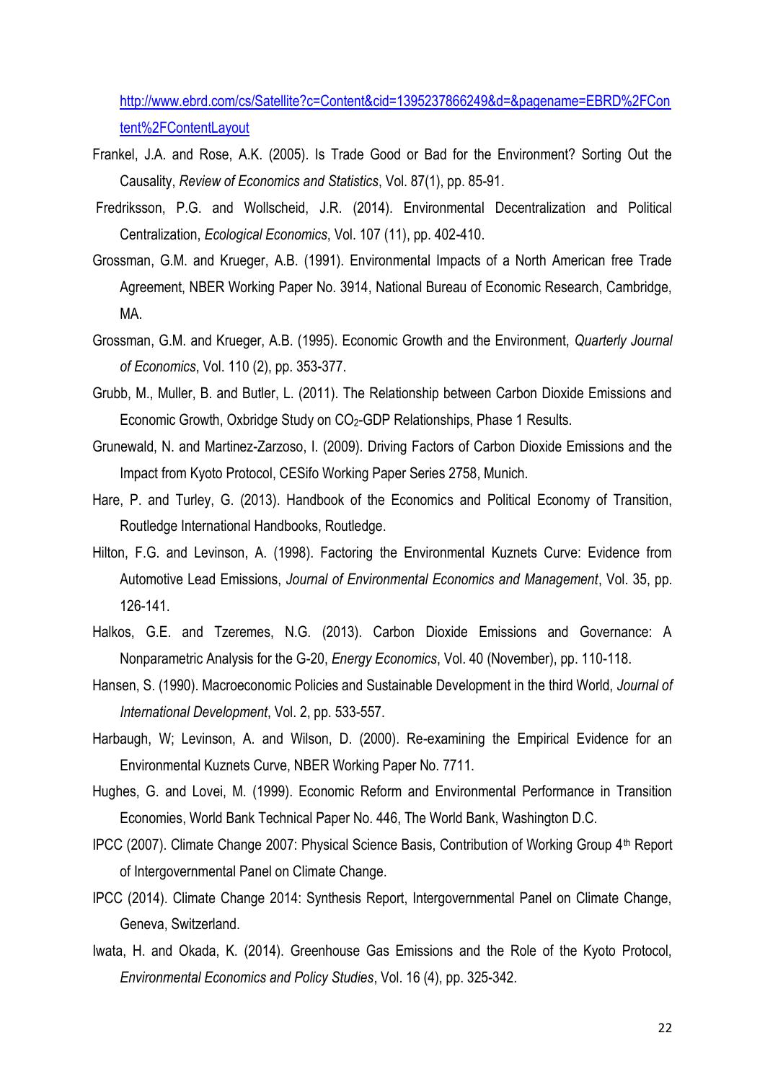[http://www.ebrd.com/cs/Satellite?c=Content&cid=1395237866249&d=&pagename=EBRD%2FCon](http://www.ebrd.com/cs/Satellite?c=Content&cid=1395237866249&d=&pagename=EBRD%2FContent%2FContentLayout) [tent%2FContentLayout](http://www.ebrd.com/cs/Satellite?c=Content&cid=1395237866249&d=&pagename=EBRD%2FContent%2FContentLayout)

- Frankel, J.A. and Rose, A.K. (2005). Is Trade Good or Bad for the Environment? Sorting Out the Causality, *Review of Economics and Statistics*, Vol. 87(1), pp. 85-91.
- Fredriksson, P.G. and Wollscheid, J.R. (2014). Environmental Decentralization and Political Centralization, *Ecological Economics*, Vol. 107 (11), pp. 402-410.
- Grossman, G.M. and Krueger, A.B. (1991). Environmental Impacts of a North American free Trade Agreement, NBER Working Paper No. 3914, National Bureau of Economic Research, Cambridge, MA.
- Grossman, G.M. and Krueger, A.B. (1995). Economic Growth and the Environment, *Quarterly Journal of Economics*, Vol. 110 (2), pp. 353-377.
- Grubb, M., Muller, B. and Butler, L. (2011). The Relationship between Carbon Dioxide Emissions and Economic Growth, Oxbridge Study on CO<sub>2</sub>-GDP Relationships, Phase 1 Results.
- Grunewald, N. and Martinez-Zarzoso, I. (2009). Driving Factors of Carbon Dioxide Emissions and the Impact from Kyoto Protocol, CESifo Working Paper Series 2758, Munich.
- Hare, P. and Turley, G. (2013). Handbook of the Economics and Political Economy of Transition, Routledge International Handbooks, Routledge.
- Hilton, F.G. and Levinson, A. (1998). Factoring the Environmental Kuznets Curve: Evidence from Automotive Lead Emissions, *Journal of Environmental Economics and Management*, Vol. 35, pp. 126-141.
- Halkos, G.E. and Tzeremes, N.G. (2013). Carbon Dioxide Emissions and Governance: A Nonparametric Analysis for the G-20, *Energy Economics*, Vol. 40 (November), pp. 110-118.
- Hansen, S. (1990). Macroeconomic Policies and Sustainable Development in the third World, *Journal of International Development*, Vol. 2, pp. 533-557.
- Harbaugh, W; Levinson, A. and Wilson, D. (2000). Re-examining the Empirical Evidence for an Environmental Kuznets Curve, NBER Working Paper No. 7711.
- Hughes, G. and Lovei, M. (1999). Economic Reform and Environmental Performance in Transition Economies, World Bank Technical Paper No. 446, The World Bank, Washington D.C.
- IPCC (2007). Climate Change 2007: Physical Science Basis, Contribution of Working Group 4<sup>th</sup> Report of Intergovernmental Panel on Climate Change.
- IPCC (2014). Climate Change 2014: Synthesis Report, Intergovernmental Panel on Climate Change, Geneva, Switzerland.
- Iwata, H. and Okada, K. (2014). Greenhouse Gas Emissions and the Role of the Kyoto Protocol, *Environmental Economics and Policy Studies*, Vol. 16 (4), pp. 325-342.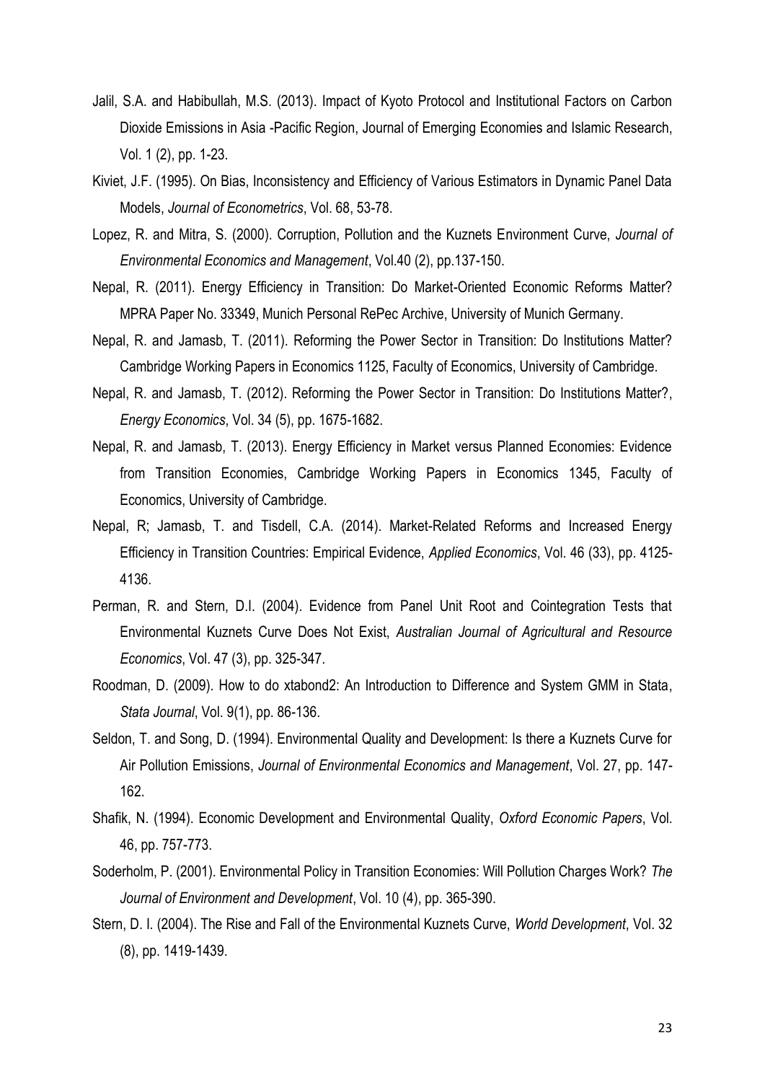- Jalil, S.A. and Habibullah, M.S. (2013). Impact of Kyoto Protocol and Institutional Factors on Carbon Dioxide Emissions in Asia -Pacific Region, Journal of Emerging Economies and Islamic Research, Vol. 1 (2), pp. 1-23.
- Kiviet, J.F. (1995). On Bias, Inconsistency and Efficiency of Various Estimators in Dynamic Panel Data Models, *Journal of Econometrics*, Vol. 68, 53-78.
- Lopez, R. and Mitra, S. (2000). Corruption, Pollution and the Kuznets Environment Curve, *Journal of Environmental Economics and Management*, Vol.40 (2), pp.137-150.
- Nepal, R. (2011). Energy Efficiency in Transition: Do Market-Oriented Economic Reforms Matter? MPRA Paper No. 33349, Munich Personal RePec Archive, University of Munich Germany.
- Nepal, R. and Jamasb, T. (2011). Reforming the Power Sector in Transition: Do Institutions Matter? Cambridge Working Papers in Economics 1125, Faculty of Economics, University of Cambridge.
- Nepal, R. and Jamasb, T. (2012). Reforming the Power Sector in Transition: Do Institutions Matter?, *Energy Economics*, Vol. 34 (5), pp. 1675-1682.
- Nepal, R. and Jamasb, T. (2013). Energy Efficiency in Market versus Planned Economies: Evidence from Transition Economies, Cambridge Working Papers in Economics 1345, Faculty of Economics, University of Cambridge.
- Nepal, R; Jamasb, T. and Tisdell, C.A. (2014). Market-Related Reforms and Increased Energy Efficiency in Transition Countries: Empirical Evidence, *Applied Economics*, Vol. 46 (33), pp. 4125- 4136.
- Perman, R. and Stern, D.I. (2004). Evidence from Panel Unit Root and Cointegration Tests that Environmental Kuznets Curve Does Not Exist, *Australian Journal of Agricultural and Resource Economics*, Vol. 47 (3), pp. 325-347.
- Roodman, D. (2009). [How to do xtabond2: An Introduction to Difference and System GMM in Stata,](http://ideas.repec.org/a/tsj/stataj/v9y2009i1p86-136.html) *[Stata Journal](http://ideas.repec.org/s/tsj/stataj.html)*, Vol. 9(1), pp. 86-136.
- Seldon, T. and Song, D. (1994). Environmental Quality and Development: Is there a Kuznets Curve for Air Pollution Emissions, *Journal of Environmental Economics and Management*, Vol. 27, pp. 147- 162.
- Shafik, N. (1994). Economic Development and Environmental Quality, *Oxford Economic Papers*, Vol. 46, pp. 757-773.
- Soderholm, P. (2001). Environmental Policy in Transition Economies: Will Pollution Charges Work? *The Journal of Environment and Development*, Vol. 10 (4), pp. 365-390.
- Stern, D. I. (2004). The Rise and Fall of the Environmental Kuznets Curve, *World Development*, Vol. 32 (8), pp. 1419-1439.